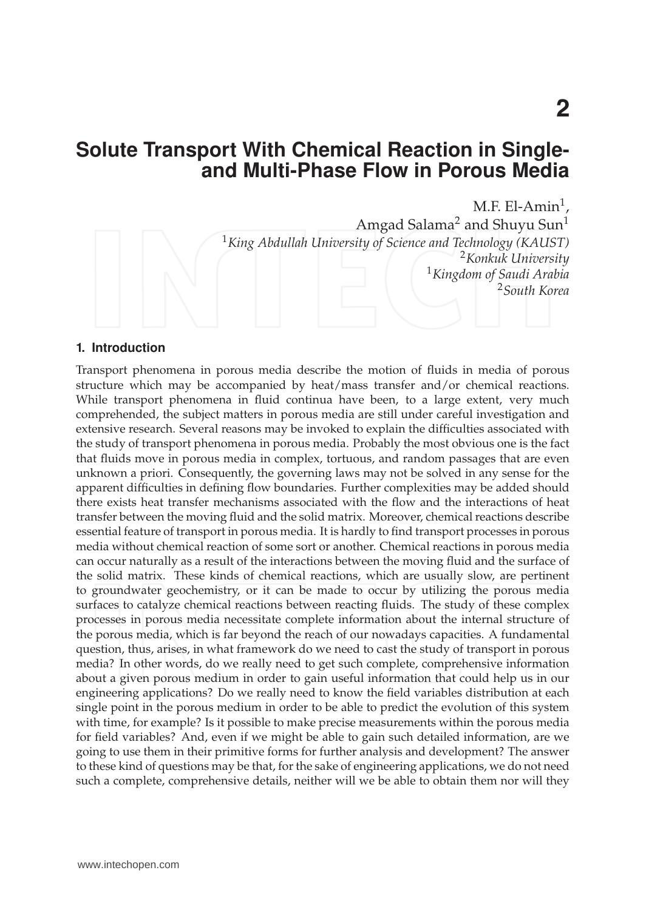# **Solute Transport With Chemical Reaction in Singleand Multi-Phase Flow in Porous Media**

M.F. El-Amin $^1$ ,

Amgad Salama<sup>2</sup> and Shuyu Sun<sup>1</sup> *King Abdullah University of Science and Technology (KAUST) Konkuk University Kingdom of Saudi Arabia South Korea*

# **1. Introduction**

Transport phenomena in porous media describe the motion of fluids in media of porous structure which may be accompanied by heat/mass transfer and/or chemical reactions. While transport phenomena in fluid continua have been, to a large extent, very much comprehended, the subject matters in porous media are still under careful investigation and extensive research. Several reasons may be invoked to explain the difficulties associated with the study of transport phenomena in porous media. Probably the most obvious one is the fact that fluids move in porous media in complex, tortuous, and random passages that are even unknown a priori. Consequently, the governing laws may not be solved in any sense for the apparent difficulties in defining flow boundaries. Further complexities may be added should there exists heat transfer mechanisms associated with the flow and the interactions of heat transfer between the moving fluid and the solid matrix. Moreover, chemical reactions describe essential feature of transport in porous media. It is hardly to find transport processes in porous media without chemical reaction of some sort or another. Chemical reactions in porous media can occur naturally as a result of the interactions between the moving fluid and the surface of the solid matrix. These kinds of chemical reactions, which are usually slow, are pertinent to groundwater geochemistry, or it can be made to occur by utilizing the porous media surfaces to catalyze chemical reactions between reacting fluids. The study of these complex processes in porous media necessitate complete information about the internal structure of the porous media, which is far beyond the reach of our nowadays capacities. A fundamental question, thus, arises, in what framework do we need to cast the study of transport in porous media? In other words, do we really need to get such complete, comprehensive information about a given porous medium in order to gain useful information that could help us in our engineering applications? Do we really need to know the field variables distribution at each single point in the porous medium in order to be able to predict the evolution of this system with time, for example? Is it possible to make precise measurements within the porous media for field variables? And, even if we might be able to gain such detailed information, are we going to use them in their primitive forms for further analysis and development? The answer to these kind of questions may be that, for the sake of engineering applications, we do not need such a complete, comprehensive details, neither will we be able to obtain them nor will they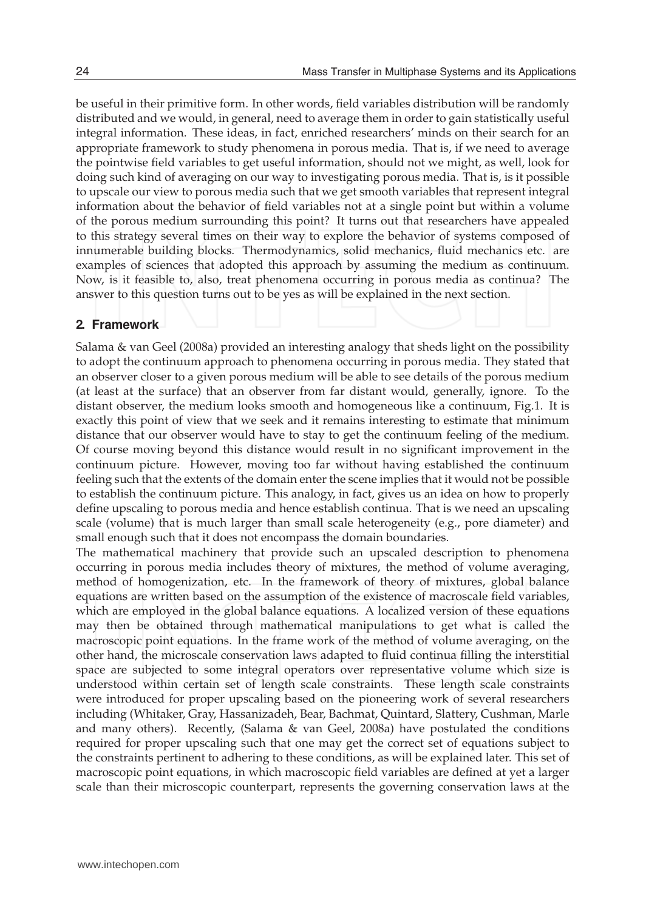be useful in their primitive form. In other words, field variables distribution will be randomly distributed and we would, in general, need to average them in order to gain statistically useful integral information. These ideas, in fact, enriched researchers' minds on their search for an appropriate framework to study phenomena in porous media. That is, if we need to average the pointwise field variables to get useful information, should not we might, as well, look for doing such kind of averaging on our way to investigating porous media. That is, is it possible to upscale our view to porous media such that we get smooth variables that represent integral information about the behavior of field variables not at a single point but within a volume of the porous medium surrounding this point? It turns out that researchers have appealed to this strategy several times on their way to explore the behavior of systems composed of innumerable building blocks. Thermodynamics, solid mechanics, fluid mechanics etc. are examples of sciences that adopted this approach by assuming the medium as continuum. Now, is it feasible to, also, treat phenomena occurring in porous media as continua? The answer to this question turns out to be yes as will be explained in the next section.

## **2. Framework**

Salama & van Geel (2008a) provided an interesting analogy that sheds light on the possibility to adopt the continuum approach to phenomena occurring in porous media. They stated that an observer closer to a given porous medium will be able to see details of the porous medium (at least at the surface) that an observer from far distant would, generally, ignore. To the distant observer, the medium looks smooth and homogeneous like a continuum, Fig.1. It is exactly this point of view that we seek and it remains interesting to estimate that minimum distance that our observer would have to stay to get the continuum feeling of the medium. Of course moving beyond this distance would result in no significant improvement in the continuum picture. However, moving too far without having established the continuum feeling such that the extents of the domain enter the scene implies that it would not be possible to establish the continuum picture. This analogy, in fact, gives us an idea on how to properly define upscaling to porous media and hence establish continua. That is we need an upscaling scale (volume) that is much larger than small scale heterogeneity (e.g., pore diameter) and small enough such that it does not encompass the domain boundaries.

The mathematical machinery that provide such an upscaled description to phenomena occurring in porous media includes theory of mixtures, the method of volume averaging, method of homogenization, etc. In the framework of theory of mixtures, global balance equations are written based on the assumption of the existence of macroscale field variables, which are employed in the global balance equations. A localized version of these equations may then be obtained through mathematical manipulations to get what is called the macroscopic point equations. In the frame work of the method of volume averaging, on the other hand, the microscale conservation laws adapted to fluid continua filling the interstitial space are subjected to some integral operators over representative volume which size is understood within certain set of length scale constraints. These length scale constraints were introduced for proper upscaling based on the pioneering work of several researchers including (Whitaker, Gray, Hassanizadeh, Bear, Bachmat, Quintard, Slattery, Cushman, Marle and many others). Recently, (Salama  $&$  van Geel, 2008a) have postulated the conditions required for proper upscaling such that one may get the correct set of equations subject to the constraints pertinent to adhering to these conditions, as will be explained later. This set of macroscopic point equations, in which macroscopic field variables are defined at yet a larger scale than their microscopic counterpart, represents the governing conservation laws at the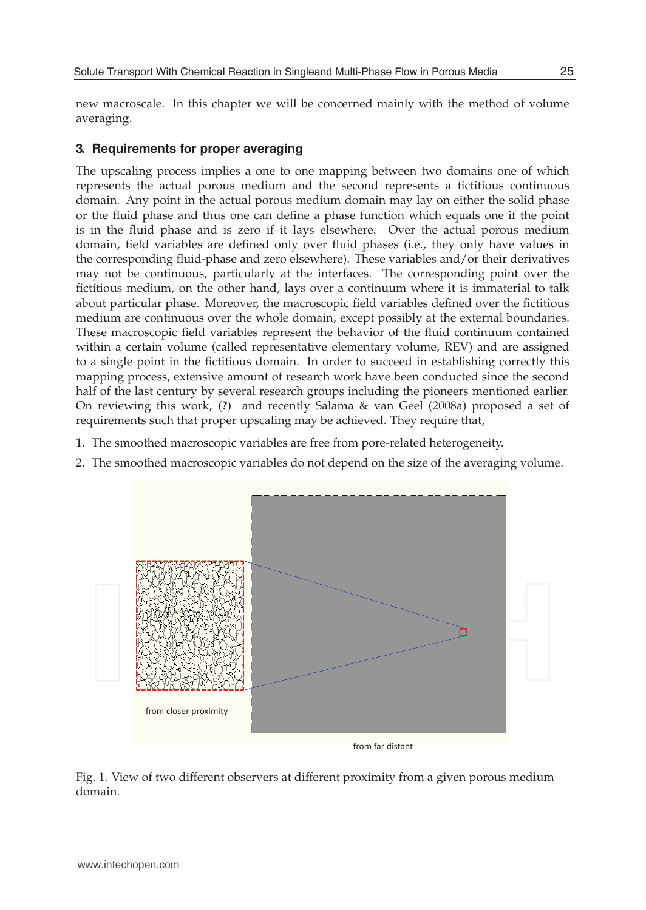new macroscale. In this chapter we will be concerned mainly with the method of volume averaging.

## **3. Requirements for proper averaging**

The upscaling process implies a one to one mapping between two domains one of which represents the actual porous medium and the second represents a fictitious continuous domain. Any point in the actual porous medium domain may lay on either the solid phase or the fluid phase and thus one can define a phase function which equals one if the point is in the fluid phase and is zero if it lays elsewhere. Over the actual porous medium domain, field variables are defined only over fluid phases (i.e., they only have values in the corresponding fluid-phase and zero elsewhere). These variables and/or their derivatives may not be continuous, particularly at the interfaces. The corresponding point over the fictitious medium, on the other hand, lays over a continuum where it is immaterial to talk about particular phase. Moreover, the macroscopic field variables defined over the fictitious medium are continuous over the whole domain, except possibly at the external boundaries. These macroscopic field variables represent the behavior of the fluid continuum contained within a certain volume (called representative elementary volume, REV) and are assigned to a single point in the fictitious domain. In order to succeed in establishing correctly this mapping process, extensive amount of research work have been conducted since the second half of the last century by several research groups including the pioneers mentioned earlier. On reviewing this work, (**?**) and recently Salama & van Geel (2008a) proposed a set of requirements such that proper upscaling may be achieved. They require that,

- 1. The smoothed macroscopic variables are free from pore-related heterogeneity.
- 2. The smoothed macroscopic variables do not depend on the size of the averaging volume.



from far distant

Fig. 1. View of two different observers at different proximity from a given porous medium domain.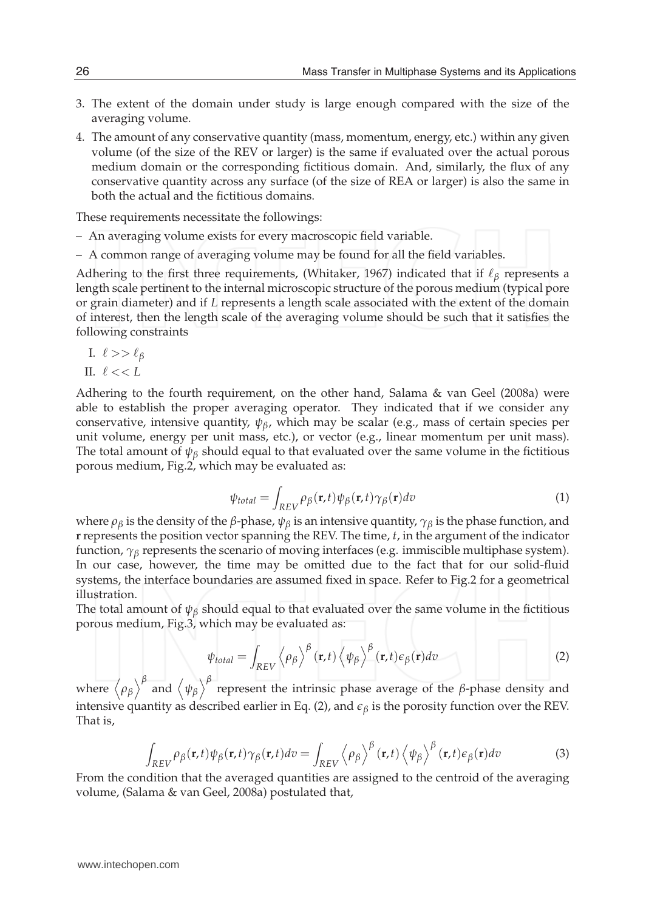- 3. The extent of the domain under study is large enough compared with the size of the averaging volume.
- 4. The amount of any conservative quantity (mass, momentum, energy, etc.) within any given volume (of the size of the REV or larger) is the same if evaluated over the actual porous medium domain or the corresponding fictitious domain. And, similarly, the flux of any conservative quantity across any surface (of the size of REA or larger) is also the same in both the actual and the fictitious domains.

These requirements necessitate the followings:

- An averaging volume exists for every macroscopic field variable.
- A common range of averaging volume may be found for all the field variables.

Adhering to the first three requirements, (Whitaker, 1967) indicated that if ℓ*<sup>β</sup>* represents a length scale pertinent to the internal microscopic structure of the porous medium (typical pore or grain diameter) and if *L* represents a length scale associated with the extent of the domain of interest, then the length scale of the averaging volume should be such that it satisfies the following constraints

I. 
$$
\ell \gg \ell_{\beta}
$$

II. 
$$
\ell \ll L
$$

Adhering to the fourth requirement, on the other hand, Salama & van Geel (2008a) were able to establish the proper averaging operator. They indicated that if we consider any conservative, intensive quantity,  $\psi_{\beta}$ , which may be scalar (e.g., mass of certain species per unit volume, energy per unit mass, etc.), or vector (e.g., linear momentum per unit mass). The total amount of  $\psi_\beta$  should equal to that evaluated over the same volume in the fictitious porous medium, Fig.2, which may be evaluated as:

$$
\psi_{total} = \int_{REV} \rho_{\beta}(\mathbf{r}, t) \psi_{\beta}(\mathbf{r}, t) \gamma_{\beta}(\mathbf{r}) dv \tag{1}
$$

where *ρ<sup>β</sup>* is the density of the *β*-phase, *ψ<sup>β</sup>* is an intensive quantity, *γ<sup>β</sup>* is the phase function, and **r** represents the position vector spanning the REV. The time, *t*, in the argument of the indicator function,  $\gamma_{\beta}$  represents the scenario of moving interfaces (e.g. immiscible multiphase system). In our case, however, the time may be omitted due to the fact that for our solid-fluid systems, the interface boundaries are assumed fixed in space. Refer to Fig.2 for a geometrical illustration.

The total amount of  $\psi_{\beta}$  should equal to that evaluated over the same volume in the fictitious porous medium, Fig.3, which may be evaluated as:

$$
\psi_{total} = \int_{REV} \left\langle \rho_{\beta} \right\rangle^{\beta} (\mathbf{r}, t) \left\langle \psi_{\beta} \right\rangle^{\beta} (\mathbf{r}, t) \epsilon_{\beta}(\mathbf{r}) dv \tag{2}
$$

where  $\big\langle \rho_\beta \big\rangle^\beta$  and  $\big\langle \psi_\beta \big\rangle^\beta$  represent the intrinsic phase average of the *β*-phase density and intensive quantity as described earlier in Eq. (2), and  $\epsilon_{\beta}$  is the porosity function over the REV. That is,

$$
\int_{REV} \rho_{\beta}(\mathbf{r},t) \psi_{\beta}(\mathbf{r},t) \gamma_{\beta}(\mathbf{r},t) dv = \int_{REV} \left\langle \rho_{\beta} \right\rangle^{\beta} (\mathbf{r},t) \left\langle \psi_{\beta} \right\rangle^{\beta} (\mathbf{r},t) \epsilon_{\beta}(\mathbf{r}) dv \tag{3}
$$

From the condition that the averaged quantities are assigned to the centroid of the averaging volume, (Salama & van Geel, 2008a) postulated that,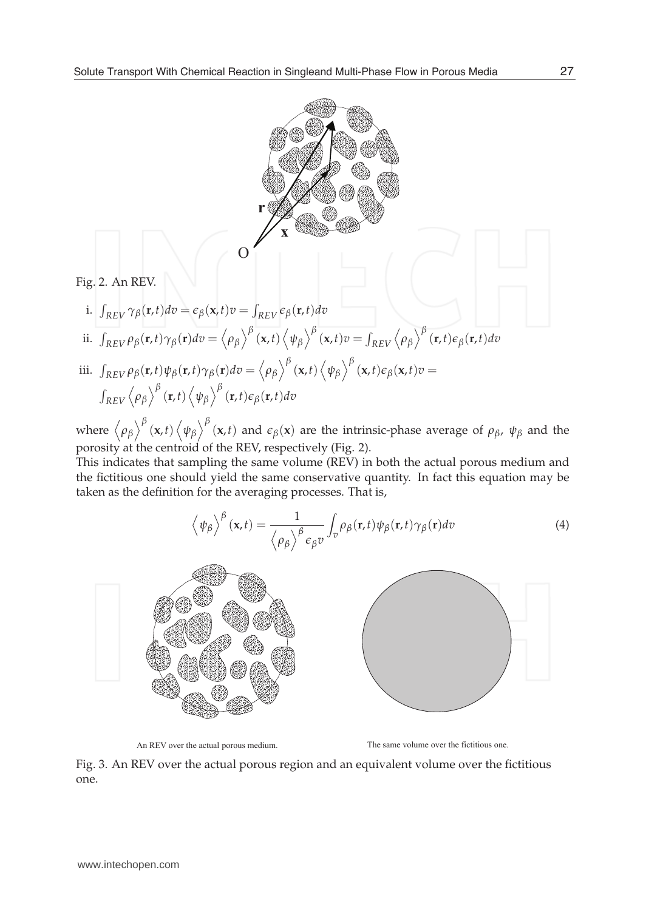

Fig. 2. An REV.

i. 
$$
\int_{REV} \gamma_{\beta}(\mathbf{r}, t) dv = \epsilon_{\beta}(\mathbf{x}, t) v = \int_{REV} \epsilon_{\beta}(\mathbf{r}, t) dv
$$
  
ii.  $\int_{REV} \rho_{\beta}(\mathbf{r}, t) \gamma_{\beta}(\mathbf{r}) dv = \langle \rho_{\beta} \rangle^{\beta}(\mathbf{x}, t) \langle \psi_{\beta} \rangle^{\beta}(\mathbf{x}, t) v = \int_{REV} \langle \rho_{\beta} \rangle^{\beta}(\mathbf{r}, t) \epsilon_{\beta}(\mathbf{r}, t) dv$ 

iii. 
$$
\int_{REV} \rho_{\beta}(\mathbf{r},t) \psi_{\beta}(\mathbf{r},t) \gamma_{\beta}(\mathbf{r}) dv = \langle \rho_{\beta} \rangle^{\beta} (\mathbf{x},t) \langle \psi_{\beta} \rangle^{\beta} (\mathbf{x},t) \epsilon_{\beta}(\mathbf{x},t) v =
$$

$$
\int_{REV} \langle \rho_{\beta} \rangle^{\beta} (\mathbf{r},t) \langle \psi_{\beta} \rangle^{\beta} (\mathbf{r},t) \epsilon_{\beta}(\mathbf{r},t) dv
$$

where  $\left< \rho_\beta \right>^\beta ({\bf x},t) \left< \psi_\beta \right>^\beta ({\bf x},t)$  and  $\epsilon_\beta({\bf x})$  are the intrinsic-phase average of  $\rho_\beta$ ,  $\psi_\beta$  and the porosity at the centroid of the REV, respectively (Fig. 2).

This indicates that sampling the same volume (REV) in both the actual porous medium and the fictitious one should yield the same conservative quantity. In fact this equation may be taken as the definition for the averaging processes. That is,

$$
\left\langle \psi_{\beta} \right\rangle^{\beta} (\mathbf{x}, t) = \frac{1}{\left\langle \rho_{\beta} \right\rangle^{\beta} \epsilon_{\beta} v} \int_{v} \rho_{\beta}(\mathbf{r}, t) \psi_{\beta}(\mathbf{r}, t) \gamma_{\beta}(\mathbf{r}) dv \tag{4}
$$



An REV over the actual porous medium. The same volume over the fictitious one.

Fig. 3. An REV over the actual porous region and an equivalent volume over the fictitious one.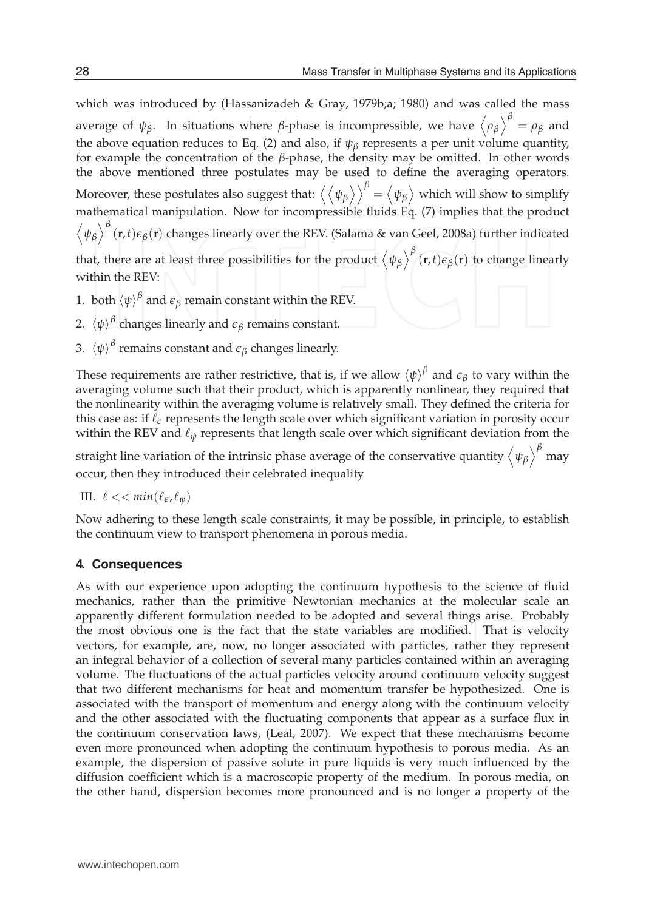which was introduced by (Hassanizadeh & Gray, 1979b;a; 1980) and was called the mass average of  $\psi_{\beta}$ . In situations where  $\beta$ -phase is incompressible, we have  $\langle \rho_{\beta} \rangle^{\beta} = \rho_{\beta}$  and the above equation reduces to Eq. (2) and also, if  $\psi_\beta$  represents a per unit volume quantity, for example the concentration of the *β*-phase, the density may be omitted. In other words the above mentioned three postulates may be used to define the averaging operators. Moreover, these postulates also suggest that:  $\Braket{\Braket{\psi_\beta}}^\beta = \Braket{\psi_\beta}$  which will show to simplify mathematical manipulation. Now for incompressible fluids Eq. (7) implies that the product  $\left\langle \psi_{\beta}\right\rangle^{\beta}(\mathbf{r},t)\epsilon_{\beta}(\mathbf{r})$  changes linearly over the REV. (Salama & van Geel, 2008a) further indicated that, there are at least three possibilities for the product  $\left\langle \psi_\beta \right\rangle^\beta(\mathbf{r},t)\epsilon_\beta(\mathbf{r})$  to change linearly within the REV:

- 1. both  $\langle \psi \rangle^{\beta}$  and  $\epsilon_{\beta}$  remain constant within the REV.
- 2.  $\langle \psi \rangle^{\beta}$  changes linearly and  $\epsilon_{\beta}$  remains constant.
- 3.  $\langle \psi \rangle^{\beta}$  remains constant and  $\epsilon_{\beta}$  changes linearly.

These requirements are rather restrictive, that is, if we allow  $\langle \psi \rangle^{\beta}$  and  $\epsilon_{\beta}$  to vary within the averaging volume such that their product, which is apparently nonlinear, they required that the nonlinearity within the averaging volume is relatively small. They defined the criteria for this case as: if ℓ*<sup>ǫ</sup>* represents the length scale over which significant variation in porosity occur within the REV and  $\ell_{\psi}$  represents that length scale over which significant deviation from the

straight line variation of the intrinsic phase average of the conservative quantity  $\left<\psi_\beta\right>^{\beta}$  may occur, then they introduced their celebrated inequality

III. 
$$
\ell \ll \min(\ell_{\epsilon}, \ell_{\psi})
$$

Now adhering to these length scale constraints, it may be possible, in principle, to establish the continuum view to transport phenomena in porous media.

## **4. Consequences**

As with our experience upon adopting the continuum hypothesis to the science of fluid mechanics, rather than the primitive Newtonian mechanics at the molecular scale an apparently different formulation needed to be adopted and several things arise. Probably the most obvious one is the fact that the state variables are modified. That is velocity vectors, for example, are, now, no longer associated with particles, rather they represent an integral behavior of a collection of several many particles contained within an averaging volume. The fluctuations of the actual particles velocity around continuum velocity suggest that two different mechanisms for heat and momentum transfer be hypothesized. One is associated with the transport of momentum and energy along with the continuum velocity and the other associated with the fluctuating components that appear as a surface flux in the continuum conservation laws, (Leal, 2007). We expect that these mechanisms become even more pronounced when adopting the continuum hypothesis to porous media. As an example, the dispersion of passive solute in pure liquids is very much influenced by the diffusion coefficient which is a macroscopic property of the medium. In porous media, on the other hand, dispersion becomes more pronounced and is no longer a property of the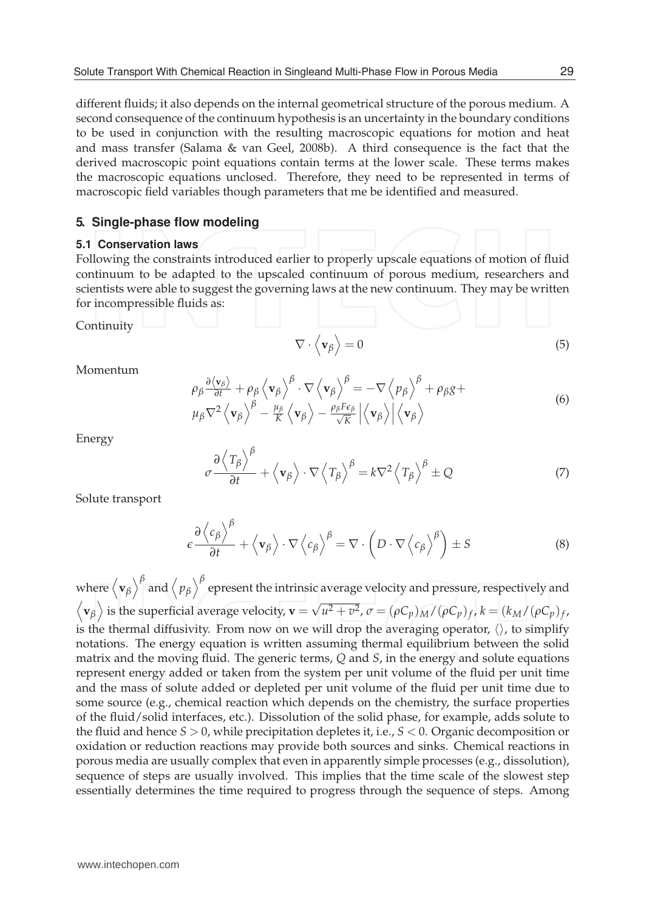different fluids; it also depends on the internal geometrical structure of the porous medium. A second consequence of the continuum hypothesis is an uncertainty in the boundary conditions to be used in conjunction with the resulting macroscopic equations for motion and heat and mass transfer (Salama & van Geel, 2008b). A third consequence is the fact that the derived macroscopic point equations contain terms at the lower scale. These terms makes the macroscopic equations unclosed. Therefore, they need to be represented in terms of macroscopic field variables though parameters that me be identified and measured.

## **5. Single-phase flow modeling**

#### **5.1 Conservation laws**

Following the constraints introduced earlier to properly upscale equations of motion of fluid continuum to be adapted to the upscaled continuum of porous medium, researchers and scientists were able to suggest the governing laws at the new continuum. They may be written for incompressible fluids as:

*β*

Continuity

$$
\nabla \cdot \left\langle \mathbf{v}_{\beta} \right\rangle = 0 \tag{5}
$$

Momentum

$$
\rho_{\beta} \frac{\partial \langle \mathbf{v}_{\beta} \rangle}{\partial t} + \rho_{\beta} \langle \mathbf{v}_{\beta} \rangle^{\beta} \cdot \nabla \langle \mathbf{v}_{\beta} \rangle^{\beta} = -\nabla \langle p_{\beta} \rangle^{\beta} + \rho_{\beta} g + \n\mu_{\beta} \nabla^{2} \langle \mathbf{v}_{\beta} \rangle^{\beta} - \frac{\mu_{\beta}}{K} \langle \mathbf{v}_{\beta} \rangle - \frac{\rho_{\beta} F \epsilon_{\beta}}{\sqrt{K}} \left| \langle \mathbf{v}_{\beta} \rangle \right| \langle \mathbf{v}_{\beta} \rangle
$$
\n(6)

Energy

$$
\sigma \frac{\partial \left\langle T_{\beta}\right\rangle^{\beta}}{\partial t} + \left\langle \mathbf{v}_{\beta}\right\rangle \cdot \nabla \left\langle T_{\beta}\right\rangle^{\beta} = k \nabla^{2} \left\langle T_{\beta}\right\rangle^{\beta} \pm \mathcal{Q}
$$
 (7)

Solute transport

$$
\epsilon \frac{\partial \left\langle c_{\beta} \right\rangle^{\beta}}{\partial t} + \left\langle \mathbf{v}_{\beta} \right\rangle \cdot \nabla \left\langle c_{\beta} \right\rangle^{\beta} = \nabla \cdot \left( D \cdot \nabla \left\langle c_{\beta} \right\rangle^{\beta} \right) \pm S \tag{8}
$$

where  $\left\langle \mathbf{v}_{\beta}\right\rangle ^{\beta}$  and  $\left\langle p_{\beta}\right\rangle ^{\beta}$  epresent the intrinsic average velocity and pressure, respectively and  $\langle \mathbf{v}_\beta \rangle$  is the superficial average velocity,  $\mathbf{v} = \sqrt{u^2 + v^2}$ ,  $\sigma = (\rho C_p)_{M}/(\rho C_p)_f$ ,  $k = (k_M/(\rho C_p)_f$ , is the thermal diffusivity. From now on we will drop the averaging operator,  $\langle \rangle$ , to simplify notations. The energy equation is written assuming thermal equilibrium between the solid matrix and the moving fluid. The generic terms, *Q* and *S*, in the energy and solute equations represent energy added or taken from the system per unit volume of the fluid per unit time and the mass of solute added or depleted per unit volume of the fluid per unit time due to some source (e.g., chemical reaction which depends on the chemistry, the surface properties of the fluid/solid interfaces, etc.). Dissolution of the solid phase, for example, adds solute to the fluid and hence *S* > 0, while precipitation depletes it, i.e., *S* < 0. Organic decomposition or oxidation or reduction reactions may provide both sources and sinks. Chemical reactions in porous media are usually complex that even in apparently simple processes (e.g., dissolution), sequence of steps are usually involved. This implies that the time scale of the slowest step essentially determines the time required to progress through the sequence of steps. Among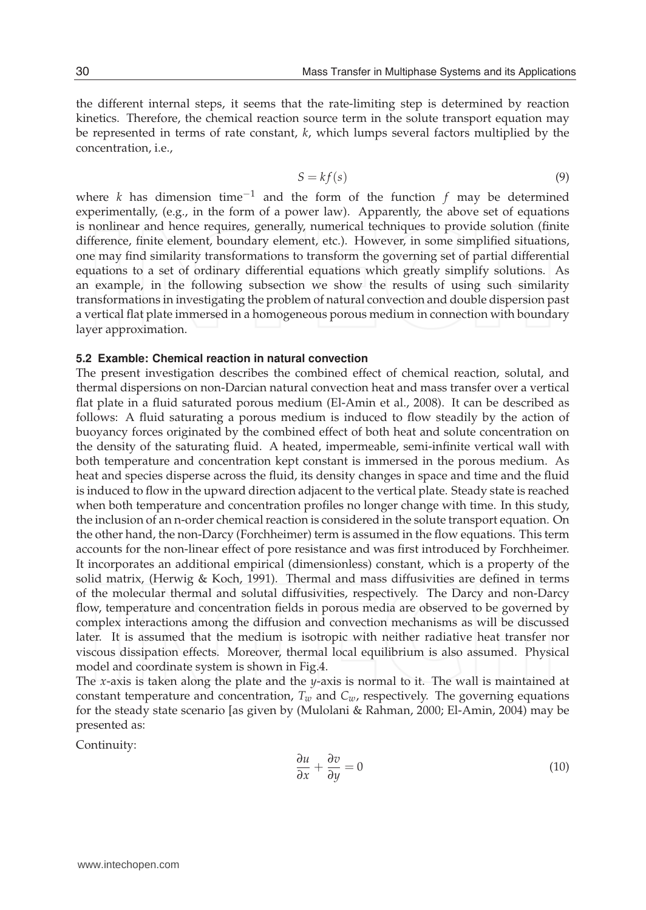the different internal steps, it seems that the rate-limiting step is determined by reaction kinetics. Therefore, the chemical reaction source term in the solute transport equation may be represented in terms of rate constant, *k*, which lumps several factors multiplied by the concentration, i.e.,

$$
S = kf(s) \tag{9}
$$

where *k* has dimension time<sup> $-1$ </sup> and the form of the function *f* may be determined experimentally, (e.g., in the form of a power law). Apparently, the above set of equations is nonlinear and hence requires, generally, numerical techniques to provide solution (finite difference, finite element, boundary element, etc.). However, in some simplified situations, one may find similarity transformations to transform the governing set of partial differential equations to a set of ordinary differential equations which greatly simplify solutions. As an example, in the following subsection we show the results of using such similarity transformations in investigating the problem of natural convection and double dispersion past a vertical flat plate immersed in a homogeneous porous medium in connection with boundary layer approximation.

#### **5.2 Examble: Chemical reaction in natural convection**

The present investigation describes the combined effect of chemical reaction, solutal, and thermal dispersions on non-Darcian natural convection heat and mass transfer over a vertical flat plate in a fluid saturated porous medium (El-Amin et al., 2008). It can be described as follows: A fluid saturating a porous medium is induced to flow steadily by the action of buoyancy forces originated by the combined effect of both heat and solute concentration on the density of the saturating fluid. A heated, impermeable, semi-infinite vertical wall with both temperature and concentration kept constant is immersed in the porous medium. As heat and species disperse across the fluid, its density changes in space and time and the fluid is induced to flow in the upward direction adjacent to the vertical plate. Steady state is reached when both temperature and concentration profiles no longer change with time. In this study, the inclusion of an n-order chemical reaction is considered in the solute transport equation. On the other hand, the non-Darcy (Forchheimer) term is assumed in the flow equations. This term accounts for the non-linear effect of pore resistance and was first introduced by Forchheimer. It incorporates an additional empirical (dimensionless) constant, which is a property of the solid matrix, (Herwig & Koch, 1991). Thermal and mass diffusivities are defined in terms of the molecular thermal and solutal diffusivities, respectively. The Darcy and non-Darcy flow, temperature and concentration fields in porous media are observed to be governed by complex interactions among the diffusion and convection mechanisms as will be discussed later. It is assumed that the medium is isotropic with neither radiative heat transfer nor viscous dissipation effects. Moreover, thermal local equilibrium is also assumed. Physical model and coordinate system is shown in Fig.4.

The *x*-axis is taken along the plate and the *y*-axis is normal to it. The wall is maintained at constant temperature and concentration,  $T_w$  and  $C_w$ , respectively. The governing equations for the steady state scenario [as given by (Mulolani & Rahman, 2000; El-Amin, 2004) may be presented as:

Continuity:

$$
\frac{\partial u}{\partial x} + \frac{\partial v}{\partial y} = 0\tag{10}
$$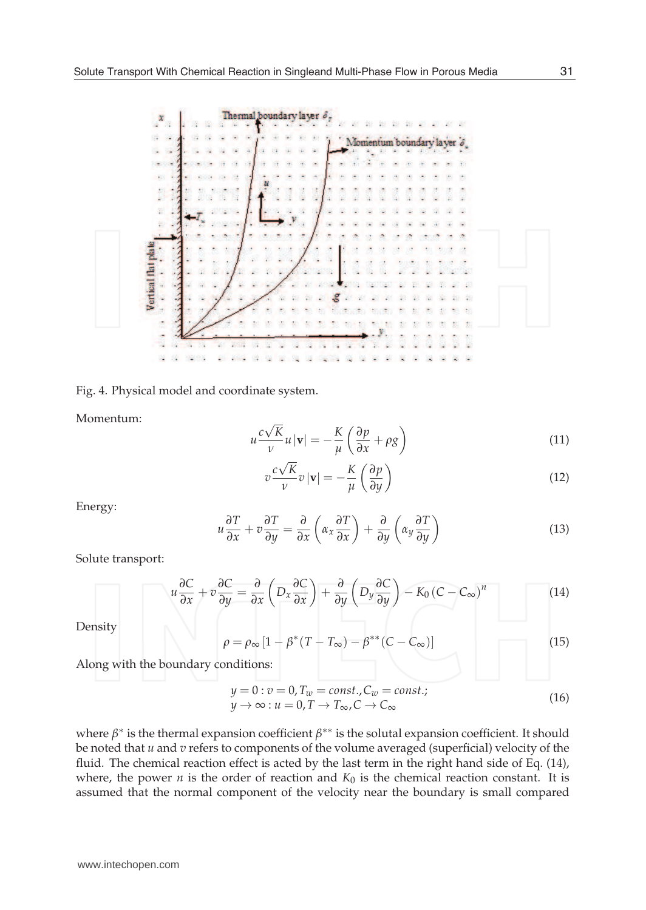

Fig. 4. Physical model and coordinate system.

Momentum:

$$
u\frac{c\sqrt{K}}{\nu}u\left|\mathbf{v}\right| = -\frac{K}{\mu}\left(\frac{\partial p}{\partial x} + \rho g\right)
$$
(11)

$$
v\frac{c\sqrt{K}}{\nu}v|\mathbf{v}| = -\frac{K}{\mu}\left(\frac{\partial p}{\partial y}\right)
$$
 (12)

Energy:

$$
u\frac{\partial T}{\partial x} + v\frac{\partial T}{\partial y} = \frac{\partial}{\partial x}\left(\alpha_x \frac{\partial T}{\partial x}\right) + \frac{\partial}{\partial y}\left(\alpha_y \frac{\partial T}{\partial y}\right)
$$
(13)

Solute transport:

$$
u\frac{\partial C}{\partial x} + v\frac{\partial C}{\partial y} = \frac{\partial}{\partial x}\left(D_x\frac{\partial C}{\partial x}\right) + \frac{\partial}{\partial y}\left(D_y\frac{\partial C}{\partial y}\right) - K_0(C - C_\infty)^n\tag{14}
$$

Density

$$
\rho = \rho_{\infty} \left[ 1 - \beta^* (T - T_{\infty}) - \beta^{**} (C - C_{\infty}) \right]
$$
\n<sup>(15)</sup>

Along with the boundary conditions:

$$
y = 0: v = 0, T_w = const., C_w = const.;
$$
  
\n
$$
y \to \infty: u = 0, T \to T_{\infty}, C \to C_{\infty}
$$
\n(16)

where *β* ∗ is the thermal expansion coefficient *β* ∗∗ is the solutal expansion coefficient. It should be noted that *u* and *v* refers to components of the volume averaged (superficial) velocity of the fluid. The chemical reaction effect is acted by the last term in the right hand side of Eq. (14), where, the power *n* is the order of reaction and  $K_0$  is the chemical reaction constant. It is assumed that the normal component of the velocity near the boundary is small compared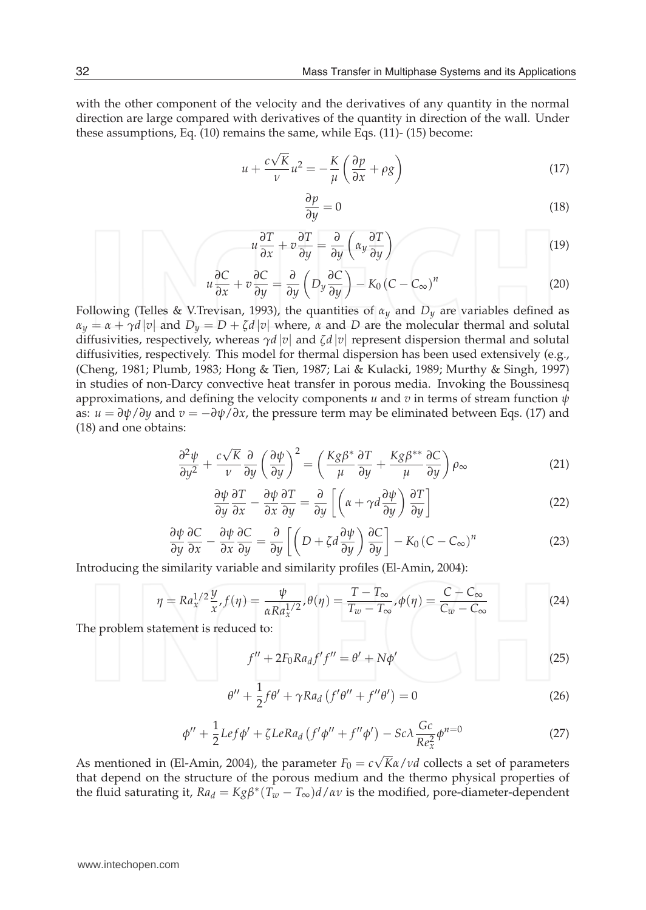with the other component of the velocity and the derivatives of any quantity in the normal direction are large compared with derivatives of the quantity in direction of the wall. Under these assumptions, Eq. (10) remains the same, while Eqs. (11)- (15) become:

$$
u + \frac{c\sqrt{K}}{v}u^2 = -\frac{K}{\mu}\left(\frac{\partial p}{\partial x} + \rho g\right)
$$
 (17)

$$
\frac{\partial p}{\partial y} = 0\tag{18}
$$

$$
u\frac{\partial T}{\partial x} + v\frac{\partial T}{\partial y} = \frac{\partial}{\partial y}\left(\alpha_y \frac{\partial T}{\partial y}\right) \tag{19}
$$

$$
u\frac{\partial C}{\partial x} + v\frac{\partial C}{\partial y} = \frac{\partial}{\partial y}\left(D_y\frac{\partial C}{\partial y}\right) - K_0\left(C - C_\infty\right)^n\tag{20}
$$

Following (Telles & V.Trevisan, 1993), the quantities of  $\alpha_y$  and  $D_y$  are variables defined as  $\alpha_y = \alpha + \gamma d |v|$  and  $D_y = D + \zeta d |v|$  where, *α* and *D* are the molecular thermal and solutal diffusivities, respectively, whereas *γd* |*v*| and *ζd* |*v*| represent dispersion thermal and solutal diffusivities, respectively. This model for thermal dispersion has been used extensively (e.g., (Cheng, 1981; Plumb, 1983; Hong & Tien, 1987; Lai & Kulacki, 1989; Murthy & Singh, 1997) in studies of non-Darcy convective heat transfer in porous media. Invoking the Boussinesq approximations, and defining the velocity components *u* and *v* in terms of stream function *ψ* as:  $u = \frac{\partial \psi}{\partial y}$  and  $v = -\frac{\partial \psi}{\partial x}$ , the pressure term may be eliminated between Eqs. (17) and (18) and one obtains:

$$
\frac{\partial^2 \psi}{\partial y^2} + \frac{c\sqrt{K}}{\nu} \frac{\partial}{\partial y} \left(\frac{\partial \psi}{\partial y}\right)^2 = \left(\frac{Kg\beta^*}{\mu} \frac{\partial T}{\partial y} + \frac{Kg\beta^{**}}{\mu} \frac{\partial C}{\partial y}\right) \rho_\infty
$$
\n(21)

$$
\frac{\partial \psi}{\partial y} \frac{\partial T}{\partial x} - \frac{\partial \psi}{\partial x} \frac{\partial T}{\partial y} = \frac{\partial}{\partial y} \left[ \left( \alpha + \gamma d \frac{\partial \psi}{\partial y} \right) \frac{\partial T}{\partial y} \right]
$$
(22)

$$
\frac{\partial \psi}{\partial y} \frac{\partial C}{\partial x} - \frac{\partial \psi}{\partial x} \frac{\partial C}{\partial y} = \frac{\partial}{\partial y} \left[ \left( D + \zeta d \frac{\partial \psi}{\partial y} \right) \frac{\partial C}{\partial y} \right] - K_0 (C - C_\infty)^n \tag{23}
$$

Introducing the similarity variable and similarity profiles (El-Amin, 2004):

$$
\eta = Ra_x^{1/2} \frac{y}{x}, f(\eta) = \frac{\psi}{\alpha Ra_x^{1/2}}, \theta(\eta) = \frac{T - T_{\infty}}{T_w - T_{\infty}}, \phi(\eta) = \frac{C - C_{\infty}}{C_w - C_{\infty}}
$$
(24)

The problem statement is reduced to:

$$
f'' + 2F_0 Ra_d f' f'' = \theta' + N\phi'
$$
 (25)

$$
\theta'' + \frac{1}{2}f\theta' + \gamma Ra_d \left( f'\theta'' + f''\theta' \right) = 0 \tag{26}
$$

$$
\phi'' + \frac{1}{2} \text{Lef} \phi' + \zeta \text{L} e \text{R} a_d \left( f' \phi'' + f'' \phi' \right) - Sc\lambda \frac{Gc}{\text{R} e_x^2} \phi^{n=0}
$$
\n(27)

As mentioned in (El-Amin, 2004), the parameter  $F_0 = c\sqrt{K}\alpha/\nu d$  collects a set of parameters that depend on the structure of the porous medium and the thermo physical properties of the fluid saturating it,  $Ra_d = Kg\beta^*(T_w - T_\infty)d/\alpha\nu$  is the modified, pore-diameter-dependent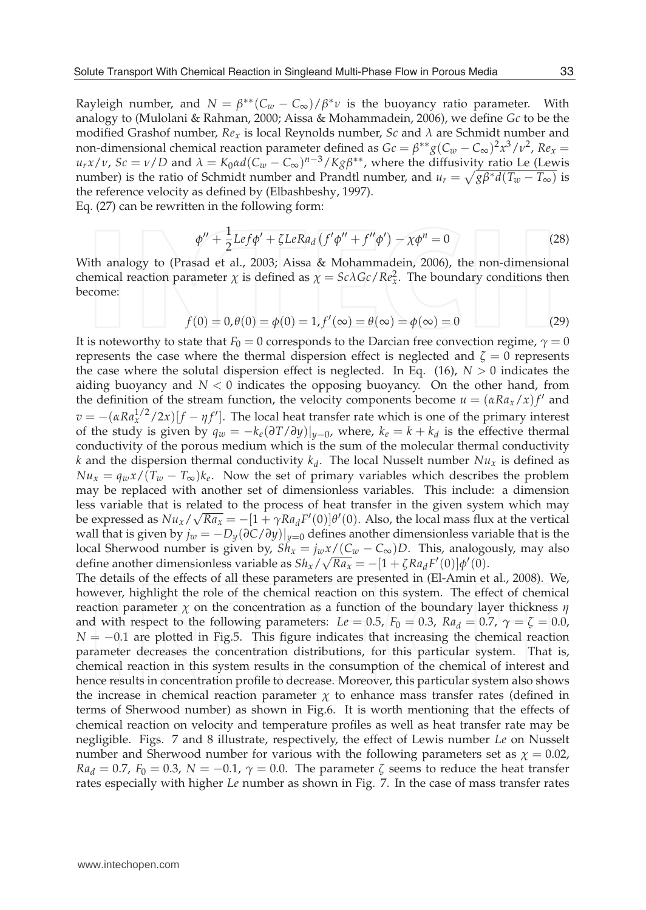Rayleigh number, and  $N = \beta^{**}(C_w - C_\infty)/\beta^* \nu$  is the buoyancy ratio parameter. With analogy to (Mulolani & Rahman, 2000; Aissa & Mohammadein, 2006), we define *Gc* to be the modified Grashof number,  $Re_x$  is local Reynolds number, *Sc* and  $\lambda$  are Schmidt number and non-dimensional chemical reaction parameter defined as  $Gc = \beta^{**}g(C_w - C_\infty)^2x^3/v^2$ ,  $Re_x =$ *u*<sub>*r*</sub>*x*/*ν*, *Sc* = *ν*/*D* and *λ* = *K*<sub>0</sub>*αd*(*C*<sub>*w*</sub> − *C*∞)<sup>*n*−3</sup>/*Kgβ*<sup>\*\*</sup>, where the diffusivity ratio Le (Lewis number) is the ratio of Schmidt number and Prandtl number, and  $u_r = \sqrt{g\beta^*d(T_w - T_\infty)}$  is the reference velocity as defined by (Elbashbeshy, 1997).

Eq. (27) can be rewritten in the following form:

$$
\phi'' + \frac{1}{2} \text{Lef}\phi' + \zeta \text{LeRa}_d \left( f' \phi'' + f'' \phi' \right) - \chi \phi^n = 0 \tag{28}
$$

With analogy to (Prasad et al., 2003; Aissa & Mohammadein, 2006), the non-dimensional chemical reaction parameter  $\chi$  is defined as  $\chi = ScAGc/Re_x^2$ . The boundary conditions then become:

$$
f(0) = 0, \theta(0) = \phi(0) = 1, f'(\infty) = \theta(\infty) = \phi(\infty) = 0
$$
\n(29)

It is noteworthy to state that  $F_0 = 0$  corresponds to the Darcian free convection regime,  $\gamma = 0$ represents the case where the thermal dispersion effect is neglected and  $\zeta = 0$  represents the case where the solutal dispersion effect is neglected. In Eq. (16),  $N > 0$  indicates the aiding buoyancy and  $N < 0$  indicates the opposing buoyancy. On the other hand, from the definition of the stream function, the velocity components become  $u = (\alpha Ra_x / x)f'$  and  $v = -(\alpha Ra_x^{1/2}/2x)[f - \eta f']$ . The local heat transfer rate which is one of the primary interest of the study is given by  $q_w = -k_e(\partial T/\partial y)|_{y=0}$ , where,  $k_e = k + k_d$  is the effective thermal conductivity of the porous medium which is the sum of the molecular thermal conductivity *k* and the dispersion thermal conductivity  $k_d$ . The local Nusselt number  $Nu_x$  is defined as  $Nu_x = q_w x / (T_w - T_\infty) k_e$ . Now the set of primary variables which describes the problem may be replaced with another set of dimensionless variables. This include: a dimension less variable that is related to the process of heat transfer in the given system which may be expressed as  $Nu_x/\sqrt{Ra_x} = -[1 + \gamma Ra_dF'(0)]\theta'(0)$ . Also, the local mass flux at the vertical wall that is given by  $j_w = -D_y(\partial C/\partial y)|_{y=0}$  defines another dimensionless variable that is the local Sherwood number is given by,  $S\dot{h}_x = j_w x / (C_w - C_\infty)D$ . This, analogously, may also define another dimensionless variable as  $Sh_x/\sqrt{Ra_x} = -[1 + \zeta Ra_dF'(0)]\phi'(0)$ .

The details of the effects of all these parameters are presented in (El-Amin et al., 2008). We, however, highlight the role of the chemical reaction on this system. The effect of chemical reaction parameter *χ* on the concentration as a function of the boundary layer thickness *η* and with respect to the following parameters:  $Le = 0.5$ ,  $F_0 = 0.3$ ,  $Ra_d = 0.7$ ,  $\gamma = \zeta = 0.0$ ,  $N = -0.1$  are plotted in Fig.5. This figure indicates that increasing the chemical reaction parameter decreases the concentration distributions, for this particular system. That is, chemical reaction in this system results in the consumption of the chemical of interest and hence results in concentration profile to decrease. Moreover, this particular system also shows the increase in chemical reaction parameter  $\chi$  to enhance mass transfer rates (defined in terms of Sherwood number) as shown in Fig.6. It is worth mentioning that the effects of chemical reaction on velocity and temperature profiles as well as heat transfer rate may be negligible. Figs. 7 and 8 illustrate, respectively, the effect of Lewis number *Le* on Nusselt number and Sherwood number for various with the following parameters set as  $\chi = 0.02$ ,  $Ra<sub>d</sub> = 0.7$ ,  $F<sub>0</sub> = 0.3$ ,  $N = -0.1$ ,  $\gamma = 0.0$ . The parameter  $\zeta$  seems to reduce the heat transfer rates especially with higher *Le* number as shown in Fig. 7. In the case of mass transfer rates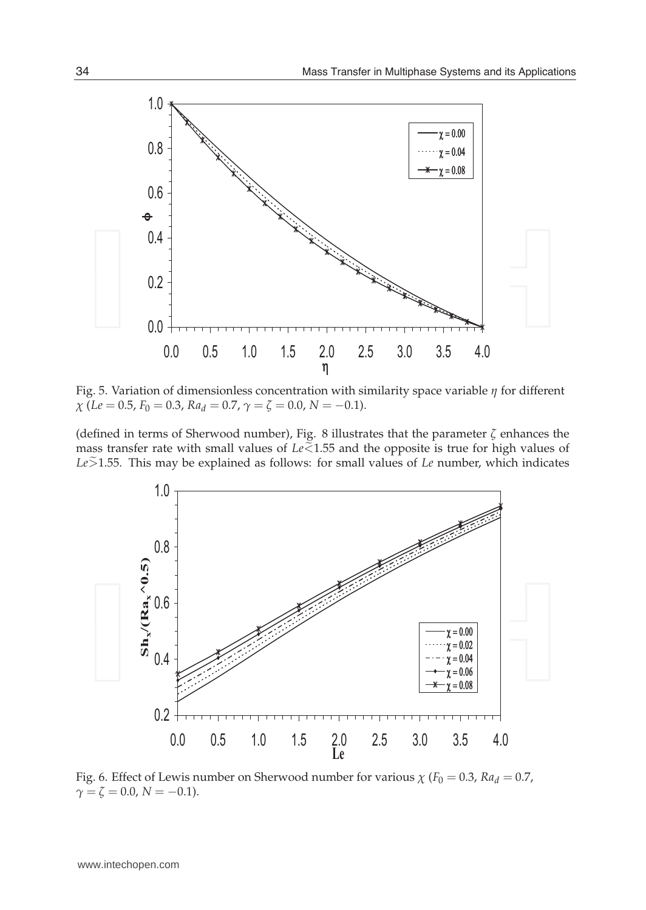

Fig. 5. Variation of dimensionless concentration with similarity space variable *η* for different  $\chi$  (*Le* = 0.5, *F*<sub>0</sub> = 0.3, *Ra*<sub>*d*</sub> = 0.7,  $\gamma$  =  $\zeta$  = 0.0, *N* = −0.1).

(defined in terms of Sherwood number), Fig. 8 illustrates that the parameter *ζ* enhances the mass transfer rate with small values of  $Le \leq 1.55$  and the opposite is true for high values of *Le*> 1.55. This may be explained as follows: for small values of *Le* number, which indicates



Fig. 6. Effect of Lewis number on Sherwood number for various  $\chi$  ( $F_0 = 0.3$ ,  $Ra_d = 0.7$ ,  $\gamma = \zeta = 0.0, N = -0.1$ .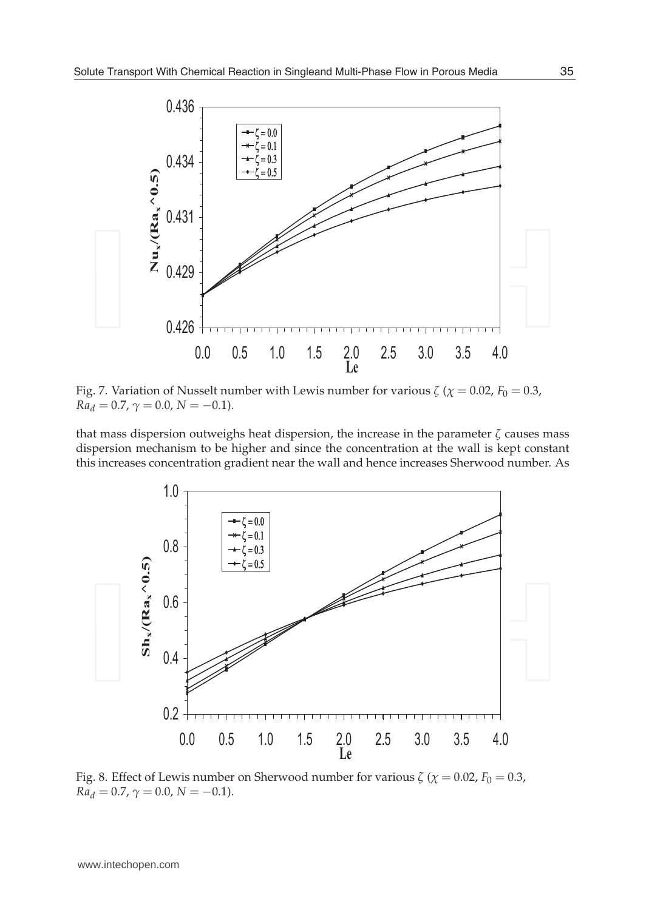

Fig. 7. Variation of Nusselt number with Lewis number for various  $\zeta$  ( $\chi$  = 0.02,  $F_0$  = 0.3,  $Ra_d = 0.7$ ,  $\gamma = 0.0$ ,  $N = -0.1$ ).

that mass dispersion outweighs heat dispersion, the increase in the parameter *ζ* causes mass dispersion mechanism to be higher and since the concentration at the wall is kept constant this increases concentration gradient near the wall and hence increases Sherwood number. As



Fig. 8. Effect of Lewis number on Sherwood number for various  $\zeta$  ( $\chi$  = 0.02,  $F_0$  = 0.3,  $Ra_d = 0.7$ ,  $\gamma = 0.0$ ,  $N = -0.1$ ).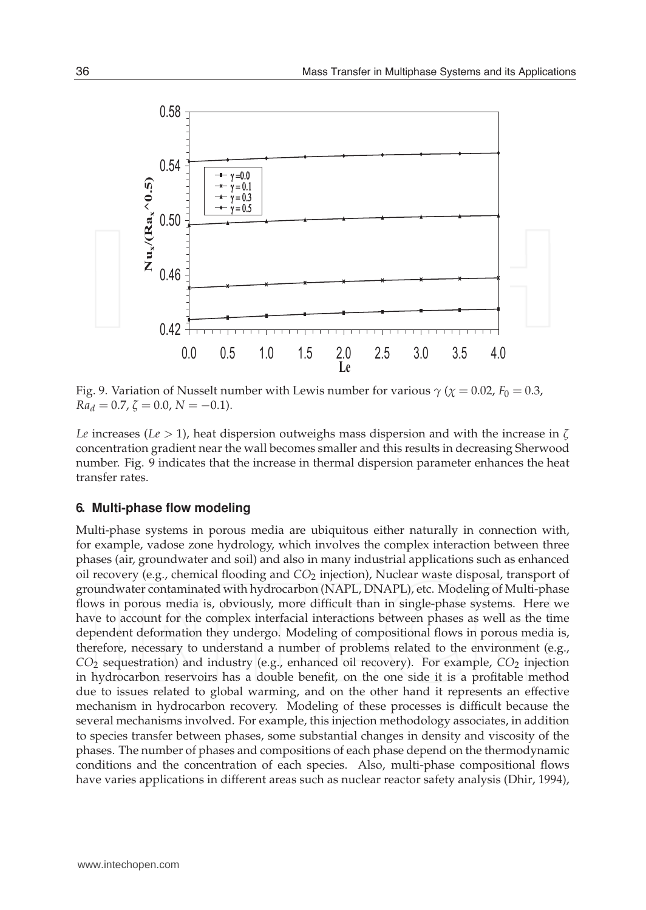

Fig. 9. Variation of Nusselt number with Lewis number for various  $\gamma$  ( $\chi$  = 0.02,  $F_0$  = 0.3,  $Ra_d = 0.7$ ,  $\zeta = 0.0$ ,  $N = -0.1$ ).

*Le* increases (*Le* > 1), heat dispersion outweighs mass dispersion and with the increase in *ζ* concentration gradient near the wall becomes smaller and this results in decreasing Sherwood number. Fig. 9 indicates that the increase in thermal dispersion parameter enhances the heat transfer rates.

## **6. Multi-phase flow modeling**

Multi-phase systems in porous media are ubiquitous either naturally in connection with, for example, vadose zone hydrology, which involves the complex interaction between three phases (air, groundwater and soil) and also in many industrial applications such as enhanced oil recovery (e.g., chemical flooding and *CO*<sup>2</sup> injection), Nuclear waste disposal, transport of groundwater contaminated with hydrocarbon (NAPL, DNAPL), etc. Modeling of Multi-phase flows in porous media is, obviously, more difficult than in single-phase systems. Here we have to account for the complex interfacial interactions between phases as well as the time dependent deformation they undergo. Modeling of compositional flows in porous media is, therefore, necessary to understand a number of problems related to the environment (e.g., *CO*<sup>2</sup> sequestration) and industry (e.g., enhanced oil recovery). For example, *CO*<sup>2</sup> injection in hydrocarbon reservoirs has a double benefit, on the one side it is a profitable method due to issues related to global warming, and on the other hand it represents an effective mechanism in hydrocarbon recovery. Modeling of these processes is difficult because the several mechanisms involved. For example, this injection methodology associates, in addition to species transfer between phases, some substantial changes in density and viscosity of the phases. The number of phases and compositions of each phase depend on the thermodynamic conditions and the concentration of each species. Also, multi-phase compositional flows have varies applications in different areas such as nuclear reactor safety analysis (Dhir, 1994),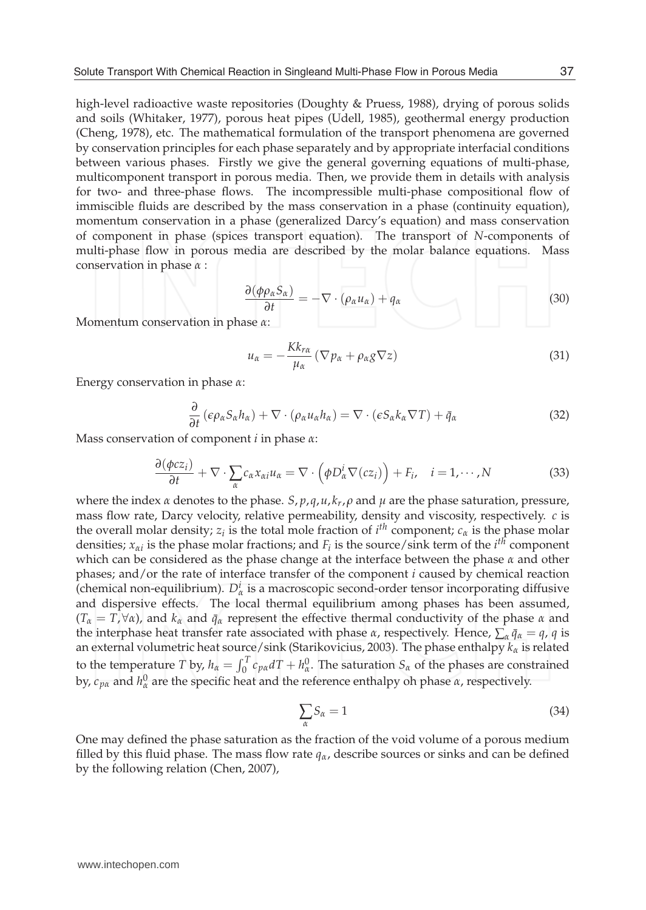high-level radioactive waste repositories (Doughty & Pruess, 1988), drying of porous solids and soils (Whitaker, 1977), porous heat pipes (Udell, 1985), geothermal energy production (Cheng, 1978), etc. The mathematical formulation of the transport phenomena are governed by conservation principles for each phase separately and by appropriate interfacial conditions between various phases. Firstly we give the general governing equations of multi-phase, multicomponent transport in porous media. Then, we provide them in details with analysis for two- and three-phase flows. The incompressible multi-phase compositional flow of immiscible fluids are described by the mass conservation in a phase (continuity equation), momentum conservation in a phase (generalized Darcy's equation) and mass conservation of component in phase (spices transport equation). The transport of *N*-components of multi-phase flow in porous media are described by the molar balance equations. Mass conservation in phase *α* :

$$
\frac{\partial(\phi \rho_{\alpha} S_{\alpha})}{\partial t} = -\nabla \cdot (\rho_{\alpha} u_{\alpha}) + q_{\alpha}
$$
 (30)

Momentum conservation in phase *α*:

$$
u_{\alpha} = -\frac{Kk_{r\alpha}}{\mu_{\alpha}} \left( \nabla p_{\alpha} + \rho_{\alpha} g \nabla z \right)
$$
 (31)

Energy conservation in phase *α*:

$$
\frac{\partial}{\partial t} \left( \epsilon \rho_{\alpha} S_{\alpha} h_{\alpha} \right) + \nabla \cdot \left( \rho_{\alpha} u_{\alpha} h_{\alpha} \right) = \nabla \cdot \left( \epsilon S_{\alpha} k_{\alpha} \nabla T \right) + \bar{q}_{\alpha} \tag{32}
$$

Mass conservation of component *i* in phase *α*:

$$
\frac{\partial(\phi cz_i)}{\partial t} + \nabla \cdot \sum_{\alpha} c_{\alpha} x_{\alpha i} u_{\alpha} = \nabla \cdot (\phi D_{\alpha}^i \nabla (cz_i)) + F_i, \quad i = 1, \cdots, N
$$
\n(33)

where the index  $\alpha$  denotes to the phase.  $S$ ,  $p$ ,  $q$ ,  $u$ ,  $k$ <sub>r</sub>, $\rho$  and  $\mu$  are the phase saturation, pressure, mass flow rate, Darcy velocity, relative permeability, density and viscosity, respectively. *c* is the overall molar density;  $z_i$  is the total mole fraction of  $i^{th}$  component;  $c_\alpha$  is the phase molar densities;  $x_{\alpha i}$  is the phase molar fractions; and  $F_i$  is the source/sink term of the  $i^{t\overline{h}}$  component which can be considered as the phase change at the interface between the phase *α* and other phases; and/or the rate of interface transfer of the component *i* caused by chemical reaction (chemical non-equilibrium).  $D^i_\alpha$  is a macroscopic second-order tensor incorporating diffusive and dispersive effects. The local thermal equilibrium among phases has been assumed,  $(T_\alpha = T, \forall \alpha)$ , and  $k_\alpha$  and  $\bar{q}_\alpha$  represent the effective thermal conductivity of the phase  $\alpha$  and the interphase heat transfer rate associated with phase *α*, respectively. Hence,  $\sum_{\alpha} \bar{q}_{\alpha} = q$ , *q* is an external volumetric heat source/sink (Starikovicius, 2003). The phase enthalpy *kα* is related to the temperature *T* by,  $h_{\alpha} = \int_0^T c_{\rho \alpha} dT + h_{\alpha}^0$ . The saturation  $S_{\alpha}$  of the phases are constrained by, *cpα* and *h* 0 *<sup>α</sup>* are the specific heat and the reference enthalpy oh phase *α*, respectively.

$$
\sum_{\alpha} S_{\alpha} = 1 \tag{34}
$$

One may defined the phase saturation as the fraction of the void volume of a porous medium filled by this fluid phase. The mass flow rate  $q_\alpha$ , describe sources or sinks and can be defined by the following relation (Chen, 2007),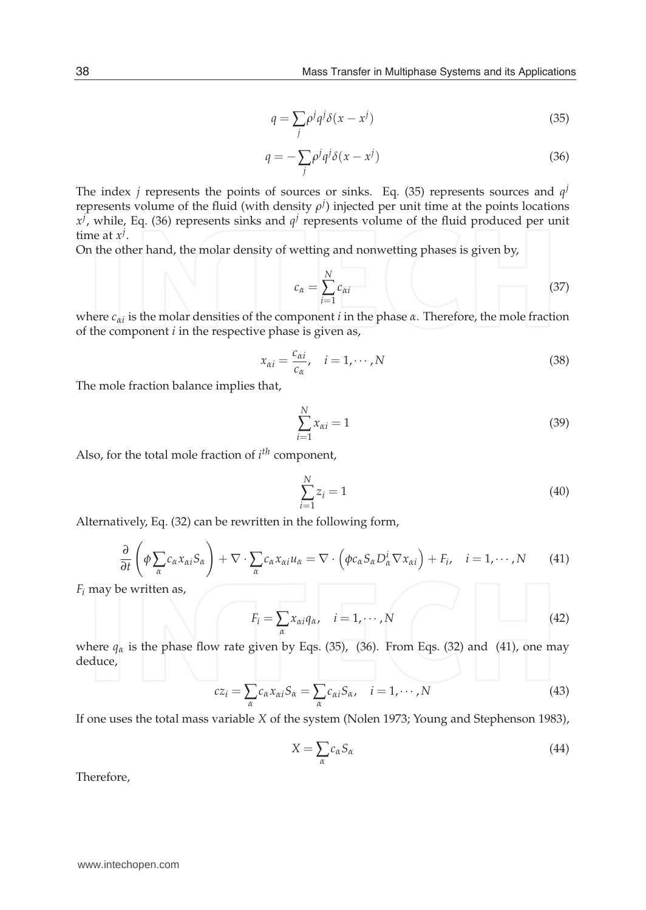$$
q = \sum_{j} \rho^{j} q^{j} \delta(x - x^{j})
$$
\n(35)

$$
q = -\sum_{j} \rho^{j} q^{j} \delta(x - x^{j})
$$
\n(36)

The index *j* represents the points of sources or sinks. Eq. (35) represents sources and  $q<sup>j</sup>$ represents volume of the fluid (with density *ρ j* ) injected per unit time at the points locations  $x^{j}$ , while, Eq. (36) represents sinks and  $q^{j}$  represents volume of the fluid produced per unit time at  $x^j$ .

On the other hand, the molar density of wetting and nonwetting phases is given by,

$$
c_{\alpha} = \sum_{i=1}^{N} c_{\alpha i} \tag{37}
$$

where *cα<sup>i</sup>* is the molar densities of the component *i* in the phase *α*. Therefore, the mole fraction of the component *i* in the respective phase is given as,

$$
x_{\alpha i} = \frac{c_{\alpha i}}{c_{\alpha}}, \quad i = 1, \cdots, N
$$
 (38)

The mole fraction balance implies that,

$$
\sum_{i=1}^{N} x_{\alpha i} = 1\tag{39}
$$

Also, for the total mole fraction of *i th* component,

$$
\sum_{i=1}^{N} z_i = 1
$$
\n(40)

Alternatively, Eq. (32) can be rewritten in the following form,

$$
\frac{\partial}{\partial t}\left(\phi\sum_{\alpha}c_{\alpha}x_{\alpha i}S_{\alpha}\right)+\nabla\cdot\sum_{\alpha}c_{\alpha}x_{\alpha i}u_{\alpha}=\nabla\cdot\left(\phi c_{\alpha}S_{\alpha}D_{\alpha}^{i}\nabla x_{\alpha i}\right)+F_{i}, \quad i=1,\cdots,N\qquad(41)
$$

*F<sup>i</sup>* may be written as,

$$
F_i = \sum_{\alpha} x_{\alpha i} q_{\alpha}, \quad i = 1, \cdots, N \tag{42}
$$

where  $q_\alpha$  is the phase flow rate given by Eqs. (35), (36). From Eqs. (32) and (41), one may deduce,

$$
cz_i = \sum_{\alpha} c_{\alpha} x_{\alpha i} S_{\alpha} = \sum_{\alpha} c_{\alpha i} S_{\alpha}, \quad i = 1, \cdots, N
$$
\n(43)

If one uses the total mass variable *X* of the system (Nolen 1973; Young and Stephenson 1983),

$$
X = \sum_{\alpha} c_{\alpha} S_{\alpha} \tag{44}
$$

Therefore,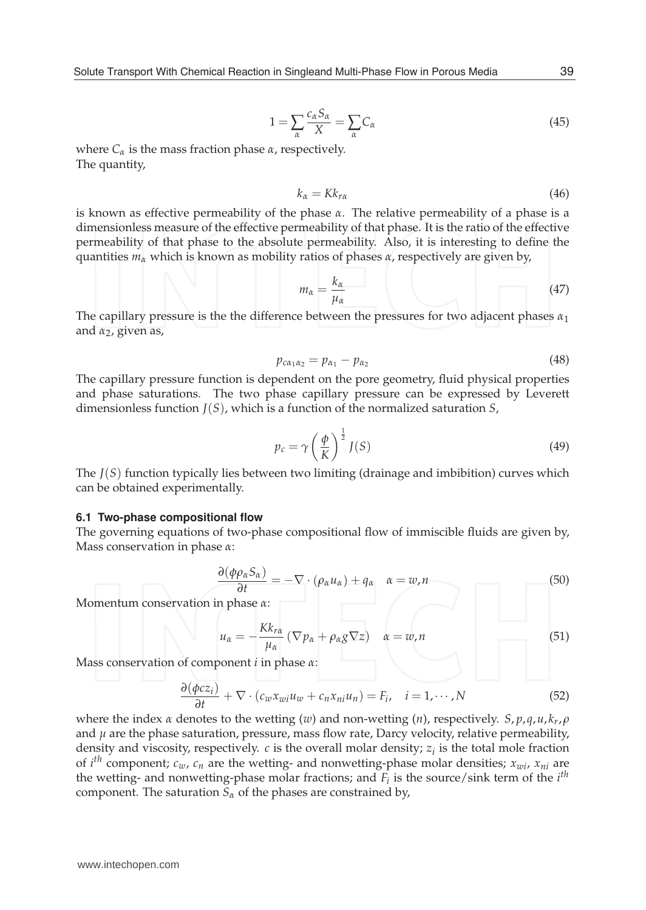$$
1 = \sum_{\alpha} \frac{c_{\alpha} S_{\alpha}}{X} = \sum_{\alpha} C_{\alpha} \tag{45}
$$

where  $C_{\alpha}$  is the mass fraction phase  $\alpha$ , respectively. The quantity,

$$
k_{\alpha} = K k_{r\alpha} \tag{46}
$$

is known as effective permeability of the phase *α*. The relative permeability of a phase is a dimensionless measure of the effective permeability of that phase. It is the ratio of the effective permeability of that phase to the absolute permeability. Also, it is interesting to define the quantities  $m_\alpha$  which is known as mobility ratios of phases  $\alpha$ , respectively are given by,

$$
m_{\alpha} = \frac{k_{\alpha}}{\mu_{\alpha}} \tag{47}
$$

The capillary pressure is the the difference between the pressures for two adjacent phases *α*<sup>1</sup> and *α*2, given as,

$$
p_{c\alpha_1\alpha_2} = p_{\alpha_1} - p_{\alpha_2} \tag{48}
$$

The capillary pressure function is dependent on the pore geometry, fluid physical properties and phase saturations. The two phase capillary pressure can be expressed by Leverett dimensionless function *J*(*S*), which is a function of the normalized saturation *S*,

$$
p_c = \gamma \left(\frac{\phi}{K}\right)^{\frac{1}{2}} J(S) \tag{49}
$$

The *J*(*S*) function typically lies between two limiting (drainage and imbibition) curves which can be obtained experimentally.

#### **6.1 Two-phase compositional flow**

The governing equations of two-phase compositional flow of immiscible fluids are given by, Mass conservation in phase *α*:

$$
\frac{\partial(\phi \rho_\alpha S_\alpha)}{\partial t} = -\nabla \cdot (\rho_\alpha u_\alpha) + q_\alpha \quad \alpha = w, n \tag{50}
$$

Momentum conservation in phase *α*:

$$
u_{\alpha} = -\frac{Kk_{r\alpha}}{\mu_{\alpha}} \left( \nabla p_{\alpha} + \rho_{\alpha} g \nabla z \right) \quad \alpha = w, n \tag{51}
$$

Mass conservation of component *i* in phase *α*:

$$
\frac{\partial(\overline{\phi c z_i})}{\partial t} + \nabla \cdot (c_w x_{wi} u_w + c_n x_{ni} u_n) = F_i, \quad i = 1, \cdots, N
$$
\n(52)

where the index *α* denotes to the wetting (*w*) and non-wetting (*n*), respectively. *S*, *p*, *q*,*u*, *kr*,*ρ* and  $\mu$  are the phase saturation, pressure, mass flow rate, Darcy velocity, relative permeability, density and viscosity, respectively. *c* is the overall molar density; *z<sup>i</sup>* is the total mole fraction of  $i^{th}$  component;  $c_w$ ,  $c_n$  are the wetting- and nonwetting-phase molar densities;  $x_{wi}$ ,  $x_{ni}$  are the wetting- and nonwetting-phase molar fractions; and *F<sup>i</sup>* is the source/sink term of the *i th* component. The saturation  $S_\alpha$  of the phases are constrained by,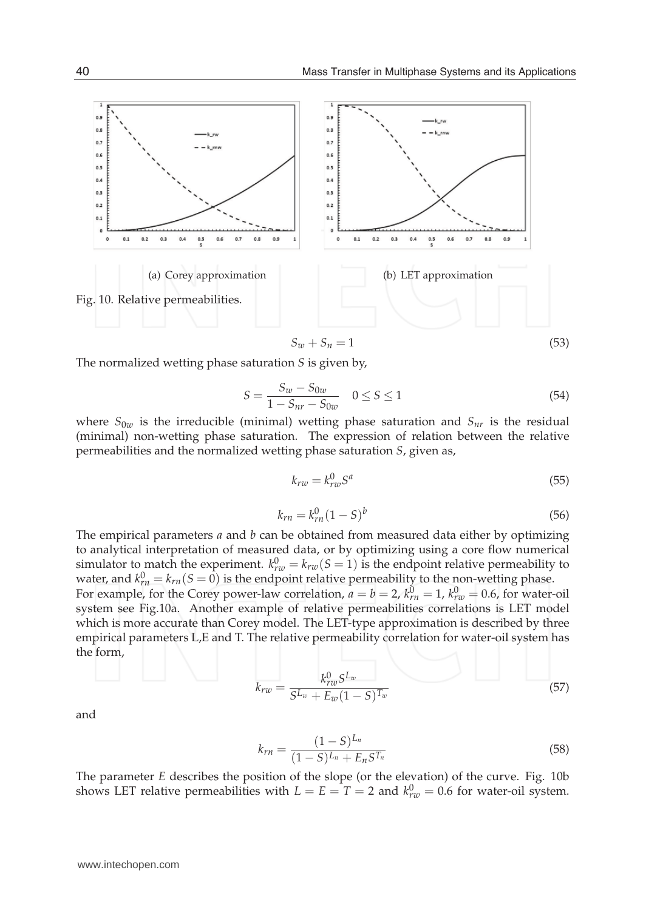

The normalized wetting phase saturation *S* is given by,

$$
S = \frac{S_w - S_{0w}}{1 - S_{nr} - S_{0w}} \quad 0 \le S \le 1
$$
\n(54)

where  $S_{0w}$  is the irreducible (minimal) wetting phase saturation and  $S_{nr}$  is the residual (minimal) non-wetting phase saturation. The expression of relation between the relative permeabilities and the normalized wetting phase saturation *S*, given as,

$$
k_{rw} = k_{rw}^0 S^a \tag{55}
$$

$$
k_{rn} = k_{rn}^0 (1 - S)^b
$$
 (56)

The empirical parameters *a* and *b* can be obtained from measured data either by optimizing to analytical interpretation of measured data, or by optimizing using a core flow numerical simulator to match the experiment.  $k_{rw}^0 = k_{rw}(S = 1)$  is the endpoint relative permeability to water, and  $k_{rn}^0 = k_{rn}(S = 0)$  is the endpoint relative permeability to the non-wetting phase.

For example, for the Corey power-law correlation,  $a = b = 2$ ,  $k_{rn}^0 = 1$ ,  $k_{rw}^0 = 0.6$ , for water-oil system see Fig.10a. Another example of relative permeabilities correlations is LET model which is more accurate than Corey model. The LET-type approximation is described by three empirical parameters L,E and T. The relative permeability correlation for water-oil system has the form,

$$
k_{rw} = \frac{k_{rw}^0 S^{L_w}}{S^{L_w} + E_w (1 - S)^{T_w}}
$$
(57)

and

$$
k_{rn} = \frac{(1-S)^{L_n}}{(1-S)^{L_n} + E_n S^{T_n}}
$$
(58)

The parameter *E* describes the position of the slope (or the elevation) of the curve. Fig. 10b shows LET relative permeabilities with  $L = E = T = 2$  and  $k_{rw}^0 = 0.6$  for water-oil system.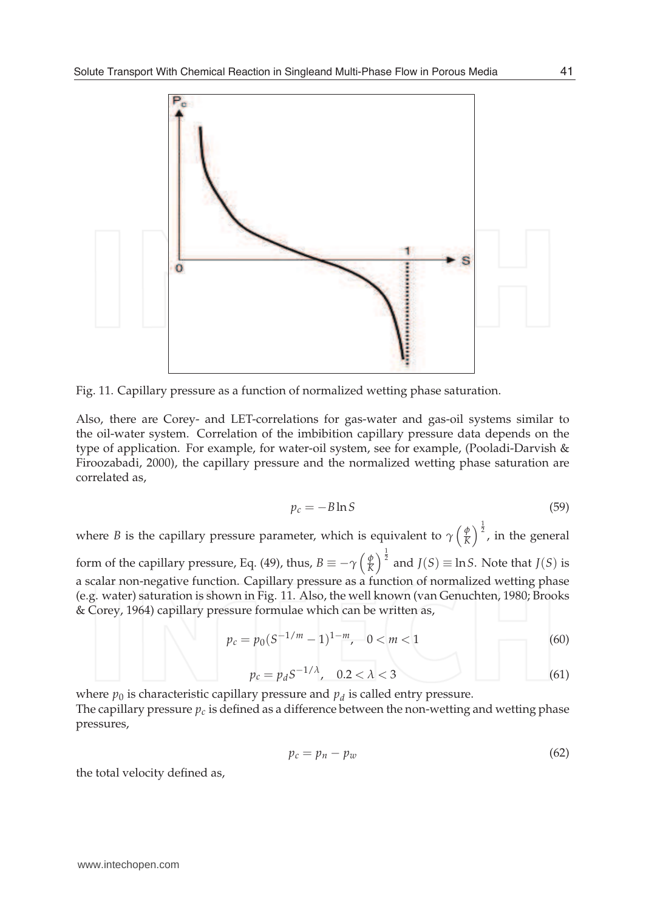

Fig. 11. Capillary pressure as a function of normalized wetting phase saturation.

Also, there are Corey- and LET-correlations for gas-water and gas-oil systems similar to the oil-water system. Correlation of the imbibition capillary pressure data depends on the type of application. For example, for water-oil system, see for example, (Pooladi-Darvish & Firoozabadi, 2000), the capillary pressure and the normalized wetting phase saturation are correlated as,

$$
p_c = -B \ln S \tag{59}
$$

where *B* is the capillary pressure parameter, which is equivalent to  $\gamma\left(\frac{\phi}{K}\right)^{\frac{1}{2}}$ , in the general form of the capillary pressure, Eq. (49), thus,  $B \equiv -\gamma \left(\frac{\phi}{K}\right)^{\frac{1}{2}}$  and  $J(S) \equiv \ln S$ . Note that  $J(S)$  is a scalar non-negative function. Capillary pressure as a function of normalized wetting phase (e.g. water) saturation is shown in Fig. 11. Also, the well known (van Genuchten, 1980; Brooks & Corey, 1964) capillary pressure formulae which can be written as,

$$
p_c = p_0 (S^{-1/m} - 1)^{1-m}, \quad 0 < m < 1 \tag{60}
$$

$$
p_c = p_d S^{-1/\lambda}, \quad 0.2 < \lambda < 3 \tag{61}
$$

where  $p_0$  is characteristic capillary pressure and  $p_d$  is called entry pressure. The capillary pressure  $p_c$  is defined as a difference between the non-wetting and wetting phase pressures,

$$
p_c = p_n - p_w \tag{62}
$$

the total velocity defined as,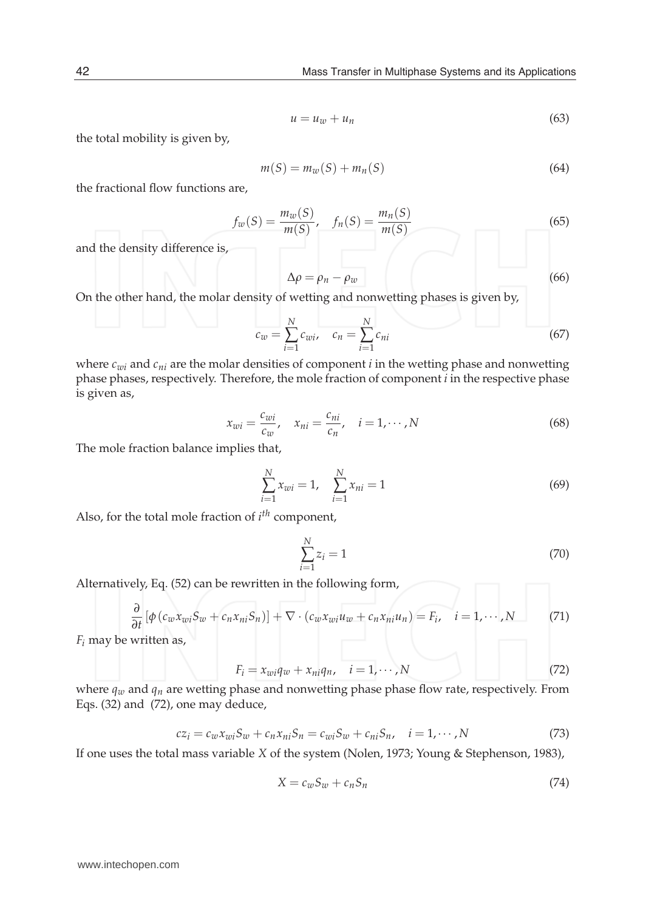$$
u = u_w + u_n \tag{63}
$$

the total mobility is given by,

$$
m(S) = m_w(S) + m_n(S) \tag{64}
$$

the fractional flow functions are,

$$
f_w(S) = \frac{m_w(S)}{m(S)} \qquad f_n(S) = \frac{m_n(S)}{m(S)} \tag{65}
$$

and the density difference is,

$$
\Delta \rho = \rho_n - \rho_w \tag{66}
$$

On the other hand, the molar density of wetting and nonwetting phases is given by,

$$
c_w = \sum_{i=1}^{N} c_{wi}, \quad c_n = \sum_{i=1}^{N} c_{ni}
$$
 (67)

where *cwi* and *cni* are the molar densities of component *i* in the wetting phase and nonwetting phase phases, respectively. Therefore, the mole fraction of component *i* in the respective phase is given as,

$$
x_{wi} = \frac{c_{wi}}{c_w}, \quad x_{ni} = \frac{c_{ni}}{c_n}, \quad i = 1, \cdots, N
$$
\n
$$
(68)
$$

The mole fraction balance implies that,

$$
\sum_{i=1}^{N} x_{wi} = 1, \quad \sum_{i=1}^{N} x_{ni} = 1
$$
\n(69)

Also, for the total mole fraction of *i th* component,

$$
\sum_{i=1}^{N} z_i = 1\tag{70}
$$

Alternatively, Eq. (52) can be rewritten in the following form,

$$
\frac{\partial}{\partial t} \left[ \phi \left( c_w x_{wi} S_w + c_n x_{ni} S_n \right) \right] + \nabla \cdot \left( c_w x_{wi} u_w + c_n x_{ni} u_n \right) = F_i, \quad i = 1, \cdots, N
$$
 (71)

 $F_i$  may be written as,

$$
F_i = x_{wi} q_w + x_{ni} q_n, \quad i = 1, \cdots, N
$$
\n(72)

where  $q_w$  and  $q_n$  are wetting phase and nonwetting phase phase flow rate, respectively. From Eqs. (32) and (72), one may deduce,

$$
cz_i = c_w x_{wi} S_w + c_n x_{ni} S_n = c_{wi} S_w + c_{ni} S_n, \quad i = 1, \cdots, N
$$
\n
$$
(73)
$$

If one uses the total mass variable *X* of the system (Nolen, 1973; Young & Stephenson, 1983),

$$
X = c_w S_w + c_n S_n \tag{74}
$$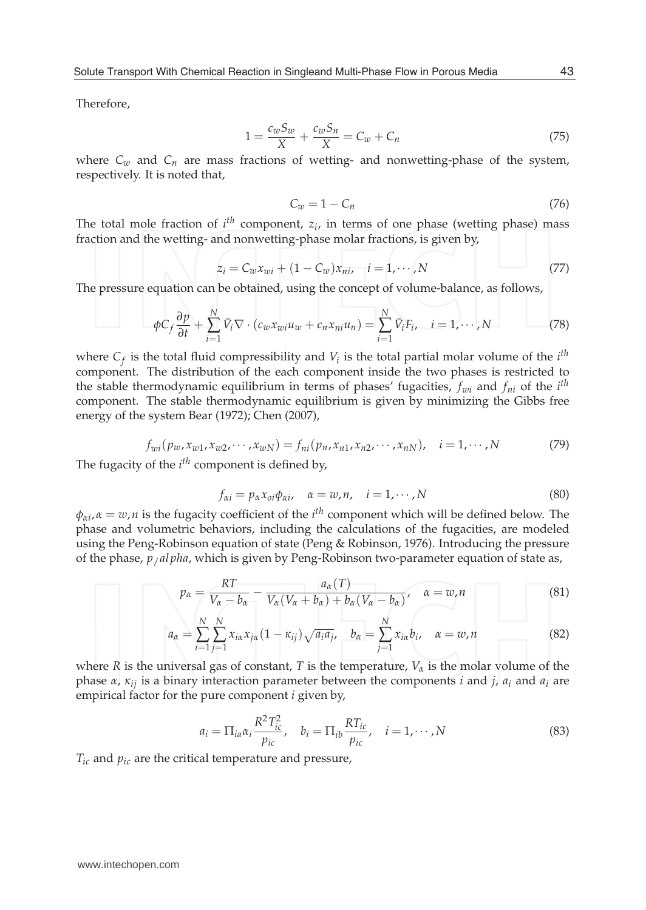Therefore,

$$
1 = \frac{c_w S_w}{X} + \frac{c_w S_n}{X} = C_w + C_n \tag{75}
$$

where  $C_w$  and  $C_n$  are mass fractions of wetting- and nonwetting-phase of the system, respectively. It is noted that,

$$
C_w = 1 - C_n \tag{76}
$$

The total mole fraction of *i th* component, *z<sup>i</sup>* , in terms of one phase (wetting phase) mass fraction and the wetting- and nonwetting-phase molar fractions, is given by,

$$
z_i = C_w x_{wi} + (1 - C_w) x_{ni}, \quad i = 1, \cdots, N
$$
 (77)

The pressure equation can be obtained, using the concept of volume-balance, as follows,

$$
-\phi C_f \frac{\partial p}{\partial t} + \sum_{i=1}^N \bar{V}_i \nabla \cdot (c_w x_{wi} u_w + c_n x_{ni} u_n) = \sum_{i=1}^N \bar{V}_i F_i, \quad i = 1, \cdots, N
$$
 (78)

where  $C_f$  is the total fluid compressibility and  $V_i$  is the total partial molar volume of the  $i^{th}$ component. The distribution of the each component inside the two phases is restricted to the stable thermodynamic equilibrium in terms of phases' fugacities, *fwi* and *fni* of the *i th* component. The stable thermodynamic equilibrium is given by minimizing the Gibbs free energy of the system Bear (1972); Chen (2007),

$$
f_{wi}(p_w, x_{w1}, x_{w2}, \cdots, x_{wN}) = f_{ni}(p_n, x_{n1}, x_{n2}, \cdots, x_{nN}), \quad i = 1, \cdots, N
$$
 (79)

The fugacity of the *i th* component is defined by,

$$
f_{\alpha i} = p_{\alpha} x_{oi} \phi_{\alpha i}, \quad \alpha = w, n, \quad i = 1, \cdots, N
$$
\n(80)

 $\phi_{\alpha i}$ ,  $\alpha = w$ , *n* is the fugacity coefficient of the *i*<sup>th</sup> component which will be defined below. The phase and volumetric behaviors, including the calculations of the fugacities, are modeled using the Peng-Robinson equation of state (Peng & Robinson, 1976). Introducing the pressure of the phase, *p*/*alpha*, which is given by Peng-Robinson two-parameter equation of state as,

$$
p_{\alpha} = \frac{RT}{V_{\alpha} - b_{\alpha}} - \frac{a_{\alpha}(T)}{V_{\alpha}(V_{\alpha} + b_{\alpha}) + b_{\alpha}(V_{\alpha} - b_{\alpha})}, \quad \alpha = w, n
$$
\n(81)

$$
a_{\alpha} = \sum_{i=1}^{N} \sum_{j=1}^{N} x_{i\alpha} x_{j\alpha} (1 - \kappa_{ij}) \sqrt{a_i a_j}, \quad b_{\alpha} = \sum_{j=1}^{N} x_{i\alpha} b_j, \quad \alpha = w, n
$$
\n(82)

where *R* is the universal gas of constant, *T* is the temperature, *Vα* is the molar volume of the phase *α*,  $κ_{ij}$  is a binary interaction parameter between the components *i* and *j*, *a*<sub>*i*</sub> and *a*<sub>*i*</sub> are empirical factor for the pure component *i* given by,

$$
a_i = \Pi_{ia} \alpha_i \frac{R^2 T_{ic}^2}{p_{ic}}, \quad b_i = \Pi_{ib} \frac{R T_{ic}}{p_{ic}}, \quad i = 1, \cdots, N
$$
 (83)

 $T_{ic}$  and  $p_{ic}$  are the critical temperature and pressure,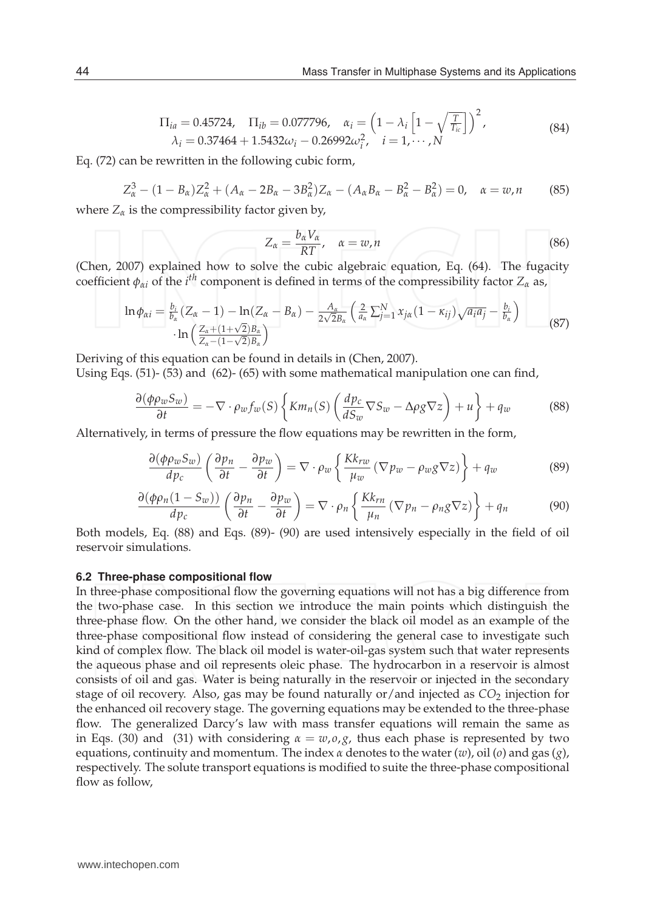$$
\Pi_{ia} = 0.45724, \quad \Pi_{ib} = 0.077796, \quad \alpha_i = \left(1 - \lambda_i \left[1 - \sqrt{\frac{T}{T_{ic}}}\right]\right)^2, \n\lambda_i = 0.37464 + 1.5432\omega_i - 0.26992\omega_i^2, \quad i = 1, \dots, N
$$
\n(84)

Eq. (72) can be rewritten in the following cubic form,

$$
Z_{\alpha}^{3} - (1 - B_{\alpha})Z_{\alpha}^{2} + (A_{\alpha} - 2B_{\alpha} - 3B_{\alpha}^{2})Z_{\alpha} - (A_{\alpha}B_{\alpha} - B_{\alpha}^{2} - B_{\alpha}^{2}) = 0, \quad \alpha = w, n
$$
 (85)

where  $Z_{\alpha}$  is the compressibility factor given by,

$$
Z_{\alpha} = \frac{b_{\alpha} V_{\alpha}}{RT}, \quad \alpha = w, n \tag{86}
$$

(Chen, 2007) explained how to solve the cubic algebraic equation, Eq. (64). The fugacity  $\alpha$  coefficient  $\phi_{\alpha i}$  of the *i<sup>th</sup>* component is defined in terms of the compressibility factor  $Z_{\alpha}$  as,

$$
\ln \phi_{\alpha i} = \frac{b_i}{b_{\alpha}} (Z_{\alpha} - 1) - \ln(Z_{\alpha} - B_{\alpha}) - \frac{A_{\alpha}}{2\sqrt{2}B_{\alpha}} \left(\frac{2}{a_{\alpha}} \sum_{j=1}^{N} x_{j\alpha} (1 - \kappa_{ij}) \sqrt{a_i a_j} - \frac{b_i}{b_{\alpha}}\right) \cdot \ln \left(\frac{Z_{\alpha} + (1 + \sqrt{2})B_{\alpha}}{Z_{\alpha} - (1 - \sqrt{2})B_{\alpha}}\right)
$$
(87)

Deriving of this equation can be found in details in (Chen, 2007).

Using Eqs. (51)- (53) and (62)- (65) with some mathematical manipulation one can find,

$$
\frac{\partial(\phi \rho_w S_w)}{\partial t} = -\nabla \cdot \rho_w f_w(S) \left\{ K m_n(S) \left( \frac{d\rho_c}{dS_w} \nabla S_w - \Delta \rho g \nabla z \right) + u \right\} + q_w \tag{88}
$$

Alternatively, in terms of pressure the flow equations may be rewritten in the form,

$$
\frac{\partial(\phi \rho_w S_w)}{dp_c} \left( \frac{\partial p_n}{\partial t} - \frac{\partial p_w}{\partial t} \right) = \nabla \cdot \rho_w \left\{ \frac{K k_{rw}}{\mu_w} \left( \nabla p_w - \rho_w g \nabla z \right) \right\} + q_w \tag{89}
$$

$$
\frac{\partial(\phi\rho_n(1-S_w))}{dp_c}\left(\frac{\partial p_n}{\partial t}-\frac{\partial p_w}{\partial t}\right)=\nabla\cdot\rho_n\left\{\frac{Kk_{rn}}{\mu_n}\left(\nabla p_n-\rho_n g\nabla z\right)\right\}+q_n\tag{90}
$$

Both models, Eq. (88) and Eqs. (89)- (90) are used intensively especially in the field of oil reservoir simulations.

## **6.2 Three-phase compositional flow**

In three-phase compositional flow the governing equations will not has a big difference from the two-phase case. In this section we introduce the main points which distinguish the three-phase flow. On the other hand, we consider the black oil model as an example of the three-phase compositional flow instead of considering the general case to investigate such kind of complex flow. The black oil model is water-oil-gas system such that water represents the aqueous phase and oil represents oleic phase. The hydrocarbon in a reservoir is almost consists of oil and gas. Water is being naturally in the reservoir or injected in the secondary stage of oil recovery. Also, gas may be found naturally or/and injected as *CO*<sub>2</sub> injection for the enhanced oil recovery stage. The governing equations may be extended to the three-phase flow. The generalized Darcy's law with mass transfer equations will remain the same as in Eqs. (30) and (31) with considering  $\alpha = w, o, g$ , thus each phase is represented by two equations, continuity and momentum. The index *α* denotes to the water (*w*), oil (*o*) and gas (*g*), respectively. The solute transport equations is modified to suite the three-phase compositional flow as follow,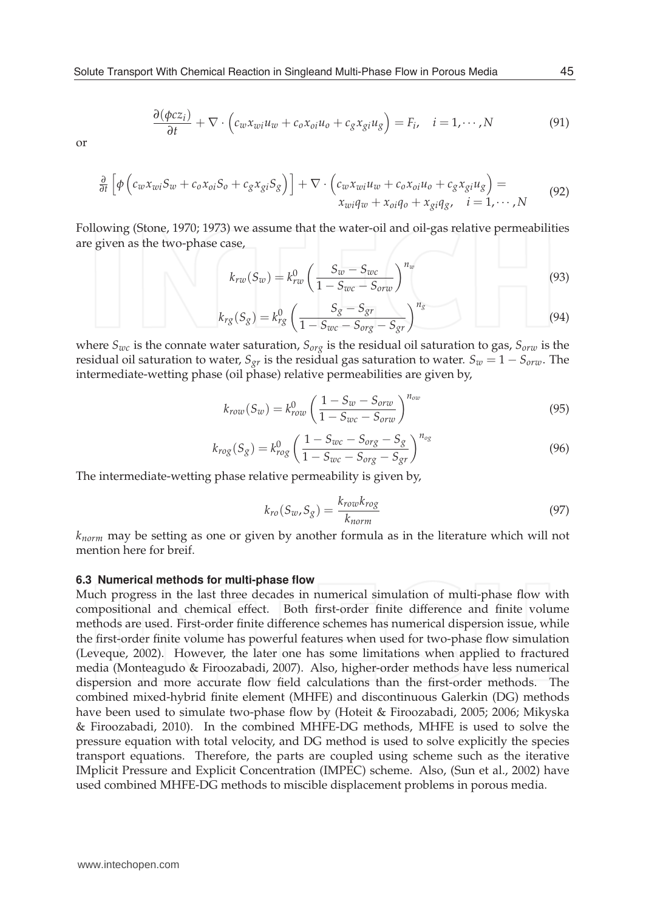$$
\frac{\partial(\phi cz_i)}{\partial t} + \nabla \cdot \left( c_w x_{wi} u_w + c_o x_{oi} u_o + c_g x_{gi} u_g \right) = F_i, \quad i = 1, \cdots, N
$$
\n(91)

or

$$
\frac{\partial}{\partial t}\left[\phi\left(c_{w}x_{wi}S_{w}+c_{o}x_{oi}S_{o}+c_{g}x_{gi}S_{g}\right)\right]+\nabla\cdot\left(c_{w}x_{wi}u_{w}+c_{o}x_{oi}u_{o}+c_{g}x_{gi}u_{g}\right)=\n\begin{array}{c}\n x_{wi}q_{w}+x_{oi}q_{o}+x_{gi}q_{g}, & i=1,\cdots,N\n\end{array} \tag{92}
$$

Following (Stone, 1970; 1973) we assume that the water-oil and oil-gas relative permeabilities are given as the two-phase case,

$$
k_{rw}(S_w) = k_{rw}^0 \left(\frac{S_w - S_{wc}}{1 - S_{wc} - S_{orw}}\right)^{n_w}
$$
\n(93)

$$
k_{rg}(S_g) = k_{rg}^0 \left( \frac{S_g - S_{gr}}{1 - S_{wc} - S_{org} - S_{gr}} \right)^{n_g}
$$
(94)

where *Swc* is the connate water saturation, *Sorg* is the residual oil saturation to gas, *Sorw* is the residual oil saturation to water,  $S_{gr}$  is the residual gas saturation to water.  $S_w = 1 - S_{orw}$ . The intermediate-wetting phase (oil phase) relative permeabilities are given by,

$$
k_{row}(S_w) = k_{row}^0 \left(\frac{1 - S_w - S_{orw}}{1 - S_{wc} - S_{orw}}\right)^{n_{ow}}
$$
(95)

$$
k_{rog}(S_g) = k_{rog}^0 \left( \frac{1 - S_{wc} - S_{org} - S_g}{1 - S_{wc} - S_{org} - S_{gr}} \right)^{n_{og}}
$$
(96)

The intermediate-wetting phase relative permeability is given by,

$$
k_{ro}(S_w, S_g) = \frac{k_{row}k_{rog}}{k_{norm}}
$$
\n(97)

*knorm* may be setting as one or given by another formula as in the literature which will not mention here for breif.

#### **6.3 Numerical methods for multi-phase flow**

Much progress in the last three decades in numerical simulation of multi-phase flow with compositional and chemical effect. Both first-order finite difference and finite volume methods are used. First-order finite difference schemes has numerical dispersion issue, while the first-order finite volume has powerful features when used for two-phase flow simulation (Leveque, 2002). However, the later one has some limitations when applied to fractured media (Monteagudo & Firoozabadi, 2007). Also, higher-order methods have less numerical dispersion and more accurate flow field calculations than the first-order methods. The combined mixed-hybrid finite element (MHFE) and discontinuous Galerkin (DG) methods have been used to simulate two-phase flow by (Hoteit & Firoozabadi, 2005; 2006; Mikyska & Firoozabadi, 2010). In the combined MHFE-DG methods, MHFE is used to solve the pressure equation with total velocity, and DG method is used to solve explicitly the species transport equations. Therefore, the parts are coupled using scheme such as the iterative IMplicit Pressure and Explicit Concentration (IMPEC) scheme. Also, (Sun et al., 2002) have used combined MHFE-DG methods to miscible displacement problems in porous media.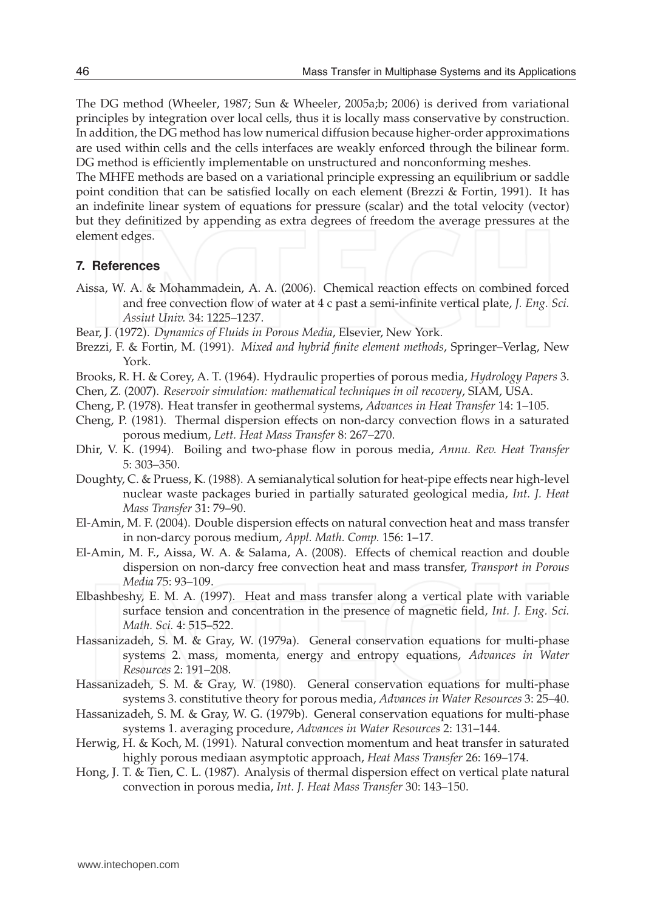The DG method (Wheeler, 1987; Sun & Wheeler, 2005a;b; 2006) is derived from variational principles by integration over local cells, thus it is locally mass conservative by construction. In addition, the DG method has low numerical diffusion because higher-order approximations are used within cells and the cells interfaces are weakly enforced through the bilinear form. DG method is efficiently implementable on unstructured and nonconforming meshes.

The MHFE methods are based on a variational principle expressing an equilibrium or saddle point condition that can be satisfied locally on each element (Brezzi & Fortin, 1991). It has an indefinite linear system of equations for pressure (scalar) and the total velocity (vector) but they definitized by appending as extra degrees of freedom the average pressures at the element edges.

## **7. References**

- Aissa, W. A. & Mohammadein, A. A. (2006). Chemical reaction effects on combined forced and free convection flow of water at 4 c past a semi-infinite vertical plate, *J. Eng. Sci. Assiut Univ.* 34: 1225–1237.
- Bear, J. (1972). *Dynamics of Fluids in Porous Media*, Elsevier, New York.
- Brezzi, F. & Fortin, M. (1991). *Mixed and hybrid finite element methods*, Springer–Verlag, New York.
- Brooks, R. H. & Corey, A. T. (1964). Hydraulic properties of porous media, *Hydrology Papers* 3. Chen, Z. (2007). *Reservoir simulation: mathematical techniques in oil recovery*, SIAM, USA.
- Cheng, P. (1978). Heat transfer in geothermal systems, *Advances in Heat Transfer* 14: 1–105.
- Cheng, P. (1981). Thermal dispersion effects on non-darcy convection flows in a saturated porous medium, *Lett. Heat Mass Transfer* 8: 267–270.
- Dhir, V. K. (1994). Boiling and two-phase flow in porous media, *Annu. Rev. Heat Transfer* 5: 303–350.
- Doughty, C. & Pruess, K. (1988). A semianalytical solution for heat-pipe effects near high-level nuclear waste packages buried in partially saturated geological media, *Int. J. Heat Mass Transfer* 31: 79–90.
- El-Amin, M. F. (2004). Double dispersion effects on natural convection heat and mass transfer in non-darcy porous medium, *Appl. Math. Comp.* 156: 1–17.
- El-Amin, M. F., Aissa, W. A. & Salama, A. (2008). Effects of chemical reaction and double dispersion on non-darcy free convection heat and mass transfer, *Transport in Porous Media* 75: 93–109.
- Elbashbeshy, E. M. A. (1997). Heat and mass transfer along a vertical plate with variable surface tension and concentration in the presence of magnetic field, *Int. J. Eng. Sci. Math. Sci.* 4: 515–522.
- Hassanizadeh, S. M. & Gray, W. (1979a). General conservation equations for multi-phase systems 2. mass, momenta, energy and entropy equations, *Advances in Water Resources* 2: 191–208.
- Hassanizadeh, S. M. & Gray, W. (1980). General conservation equations for multi-phase systems 3. constitutive theory for porous media, *Advances in Water Resources* 3: 25–40.
- Hassanizadeh, S. M. & Gray, W. G. (1979b). General conservation equations for multi-phase systems 1. averaging procedure, *Advances in Water Resources* 2: 131–144.
- Herwig, H. & Koch, M. (1991). Natural convection momentum and heat transfer in saturated highly porous mediaan asymptotic approach, *Heat Mass Transfer* 26: 169–174.
- Hong, J. T. & Tien, C. L. (1987). Analysis of thermal dispersion effect on vertical plate natural convection in porous media, *Int. J. Heat Mass Transfer* 30: 143–150.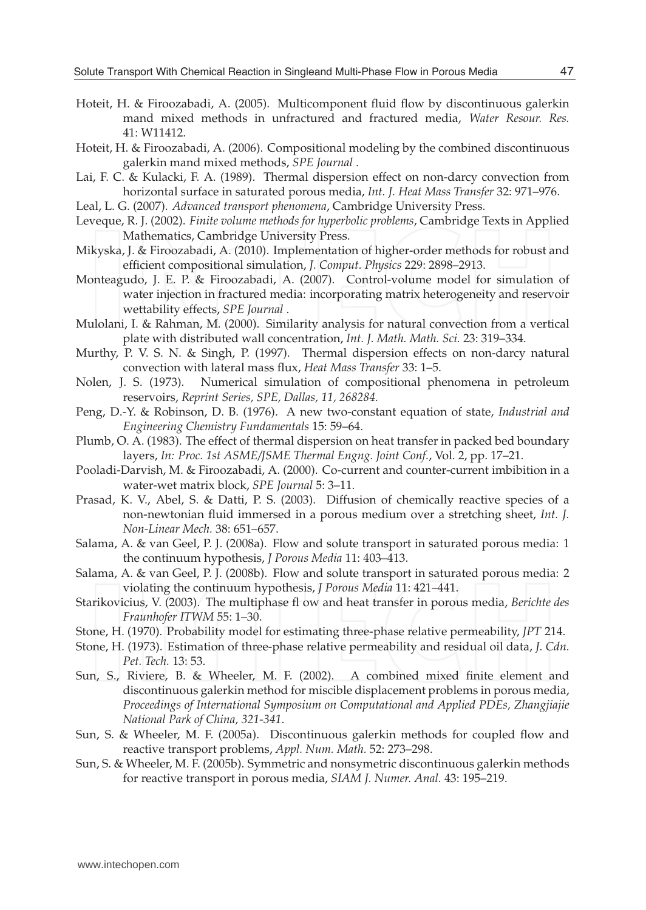- Hoteit, H. & Firoozabadi, A. (2005). Multicomponent fluid flow by discontinuous galerkin mand mixed methods in unfractured and fractured media, *Water Resour. Res.* 41: W11412.
- Hoteit, H. & Firoozabadi, A. (2006). Compositional modeling by the combined discontinuous galerkin mand mixed methods, *SPE Journal* .
- Lai, F. C. & Kulacki, F. A. (1989). Thermal dispersion effect on non-darcy convection from horizontal surface in saturated porous media, *Int. J. Heat Mass Transfer* 32: 971–976.
- Leal, L. G. (2007). *Advanced transport phenomena*, Cambridge University Press.
- Leveque, R. J. (2002). *Finite volume methods for hyperbolic problems*, Cambridge Texts in Applied Mathematics, Cambridge University Press.
- Mikyska, J. & Firoozabadi, A. (2010). Implementation of higher-order methods for robust and efficient compositional simulation, *J. Comput. Physics* 229: 2898–2913.
- Monteagudo, J. E. P. & Firoozabadi, A. (2007). Control-volume model for simulation of water injection in fractured media: incorporating matrix heterogeneity and reservoir wettability effects, *SPE Journal* .
- Mulolani, I. & Rahman, M. (2000). Similarity analysis for natural convection from a vertical plate with distributed wall concentration, *Int. J. Math. Math. Sci.* 23: 319–334.
- Murthy, P. V. S. N. & Singh, P. (1997). Thermal dispersion effects on non-darcy natural convection with lateral mass flux, *Heat Mass Transfer* 33: 1–5.
- Nolen, J. S. (1973). Numerical simulation of compositional phenomena in petroleum reservoirs, *Reprint Series, SPE, Dallas, 11, 268284.*
- Peng, D.-Y. & Robinson, D. B. (1976). A new two-constant equation of state, *Industrial and Engineering Chemistry Fundamentals* 15: 59–64.
- Plumb, O. A. (1983). The effect of thermal dispersion on heat transfer in packed bed boundary layers, *In: Proc. 1st ASME/JSME Thermal Engng. Joint Conf.*, Vol. 2, pp. 17–21.
- Pooladi-Darvish, M. & Firoozabadi, A. (2000). Co-current and counter-current imbibition in a water-wet matrix block, *SPE Journal* 5: 3–11.
- Prasad, K. V., Abel, S. & Datti, P. S. (2003). Diffusion of chemically reactive species of a non-newtonian fluid immersed in a porous medium over a stretching sheet, *Int. J. Non-Linear Mech.* 38: 651–657.
- Salama, A. & van Geel, P. J. (2008a). Flow and solute transport in saturated porous media: 1 the continuum hypothesis, *J Porous Media* 11: 403–413.
- Salama, A. & van Geel, P. J. (2008b). Flow and solute transport in saturated porous media: 2 violating the continuum hypothesis, *J Porous Media* 11: 421–441.
- Starikovicius, V. (2003). The multiphase fl ow and heat transfer in porous media, *Berichte des Fraunhofer ITWM* 55: 1–30.
- Stone, H. (1970). Probability model for estimating three-phase relative permeability, *JPT* 214.
- Stone, H. (1973). Estimation of three-phase relative permeability and residual oil data, *J. Cdn. Pet. Tech.* 13: 53.
- Sun, S., Riviere, B. & Wheeler, M. F. (2002). A combined mixed finite element and discontinuous galerkin method for miscible displacement problems in porous media, *Proceedings of International Symposium on Computational and Applied PDEs, Zhangjiajie National Park of China, 321-341*.
- Sun, S. & Wheeler, M. F. (2005a). Discontinuous galerkin methods for coupled flow and reactive transport problems, *Appl. Num. Math.* 52: 273–298.
- Sun, S. & Wheeler, M. F. (2005b). Symmetric and nonsymetric discontinuous galerkin methods for reactive transport in porous media, *SIAM J. Numer. Anal.* 43: 195–219.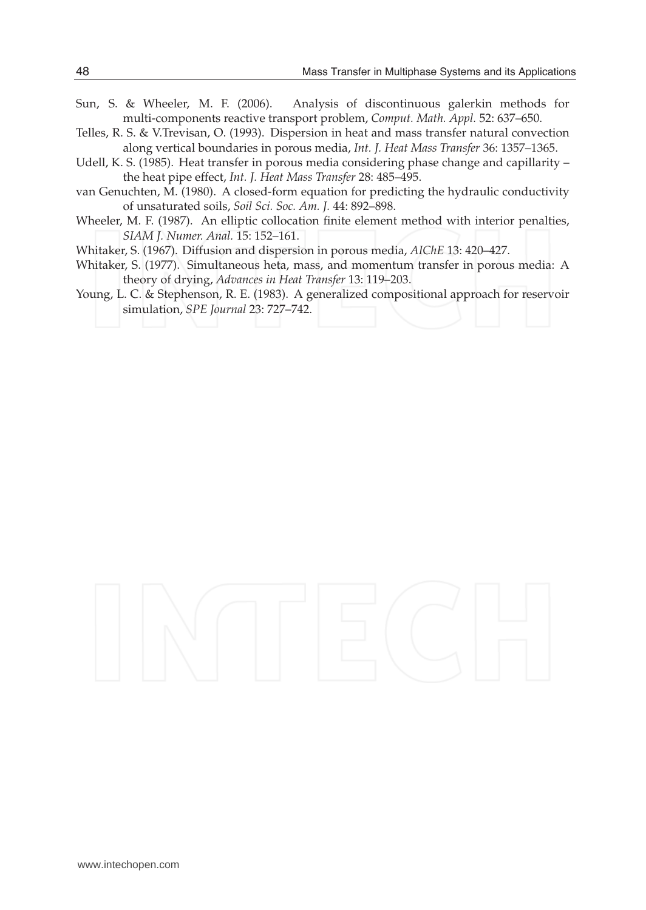- Sun, S. & Wheeler, M. F. (2006). Analysis of discontinuous galerkin methods for multi-components reactive transport problem, *Comput. Math. Appl.* 52: 637–650.
- Telles, R. S. & V.Trevisan, O. (1993). Dispersion in heat and mass transfer natural convection along vertical boundaries in porous media, *Int. J. Heat Mass Transfer* 36: 1357–1365.
- Udell, K. S. (1985). Heat transfer in porous media considering phase change and capillarity the heat pipe effect, *Int. J. Heat Mass Transfer* 28: 485–495.
- van Genuchten, M. (1980). A closed-form equation for predicting the hydraulic conductivity of unsaturated soils, *Soil Sci. Soc. Am. J.* 44: 892–898.
- Wheeler, M. F. (1987). An elliptic collocation finite element method with interior penalties, *SIAM J. Numer. Anal.* 15: 152–161.
- Whitaker, S. (1967). Diffusion and dispersion in porous media, *AIChE* 13: 420–427.
- Whitaker, S. (1977). Simultaneous heta, mass, and momentum transfer in porous media: A theory of drying, *Advances in Heat Transfer* 13: 119–203.
- Young, L. C. & Stephenson, R. E. (1983). A generalized compositional approach for reservoir simulation, *SPE Journal* 23: 727–742.